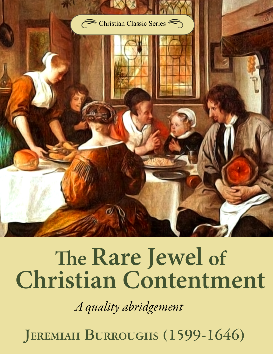

# **The Rare Jewel of Christian Contentment**

*A quality abridgement*

**Jeremiah Burroughs (1599-1646)**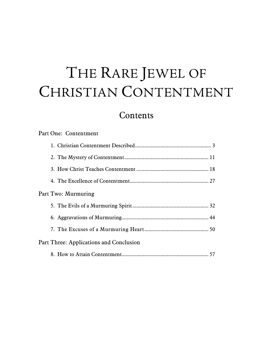## THE RARE JEWEL OF CHRISTIAN CONTENTMENT

## Contents

#### Part One: Contentment

| Part Two: Murmuring                     |  |
|-----------------------------------------|--|
|                                         |  |
|                                         |  |
|                                         |  |
| Part Three: Applications and Conclusion |  |
|                                         |  |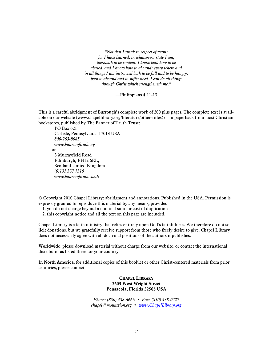*"Not that I speak in respect of want: for I have learned, in whatsoever state I am, therewith to be content. I know both how to be abased, and I know how to abound: every where and in all things I am instructed both to be full and to be hungry, both to abound and to suffer need. I can do all things through Christ which strengtheneth me."*

—Philippians 4:11-13

This is a careful abridgment of Burrough's complete work of 200 plus pages. The complete text is available on our website (www.chapellibrary.org/literature/other-titles) or in paperback from most Christian bookstores, published by The Banner of Truth Trust:

PO Box 621 Carlisle, Pennsylvania 17013 USA *800-263-8085 www.banneroftruth.org* or 3 Murrayfield Road Edinburgh, EH12 6EL, Scotland United Kingdom *(0)131 337 7310 www.banneroftruth.co.uk*

© Copyright 2010 Chapel Library: abridgment and annotations. Published in the USA. Permission is expressly granted to reproduce this material by any means, provided

1. you do not charge beyond a nominal sum for cost of duplication

2. this copyright notice and all the text on this page are included.

Chapel Library is a faith ministry that relies entirely upon God's faithfulness. We therefore do not solicit donations, but we gratefully receive support from those who freely desire to give. Chapel Library does not necessarily agree with all doctrinal positions of the authors it publishes.

**Worldwide**, please download material without charge from our website, or contact the international distributor as listed there for your country.

In **North America**, for additional copies of this booklet or other Christ-centered materials from prior centuries, please contact

> **CHAPEL LIBRARY 2603 West Wright Street Pensacola, Florida 32505 USA**

*Phone: (850) 438-6666* • *Fax: (850) 438-0227 [chapel@mountzion.org](mailto:chapel@mountzion.org)* • *[www.ChapelLibrary.org](http://www.chapellibrary.org/)*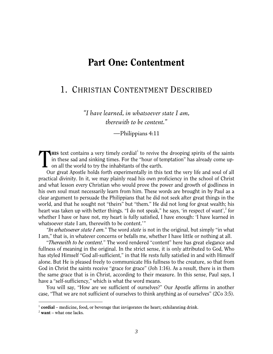## Part One: Contentment

## <span id="page-3-0"></span>1. CHRISTIAN CONTENTMENT DESCRIBED

*"I have learned, in whatsoever state I am, therewith to be content."*

*—*Philippians 4:11

**HIS** text contains a very timely cordial<sup>[1](#page-3-1)</sup> to revive the drooping spirits of the saints in these sad and sinking times. For the "hour of temptation" has already come upon all the world to try the inhabitants of the earth. T

Our great Apostle holds forth experimentally in this text the very life and soul of all practical divinity. In it, we may plainly read his own proficiency in the school of Christ and what lesson every Christian who would prove the power and growth of godliness in his own soul must necessarily learn from him. These words are brought in by Paul as a clear argument to persuade the Philippians that he did not seek after great things in the world, and that he sought not "theirs" but "them." He did not long for great wealth; his heart was taken up with better things. "I do not speak," he says, 'in respect of want',<sup>[2](#page-3-2)</sup> for whether I have or have not, my heart is fully satisfied, I have enough: 'I have learned in whatsoever state I am, therewith to be content.'"

*"In whatsoever state I am.*" The word *state* is not in the original, but simply "in what I am," that is, in whatever concerns or befalls me, whether I have little or nothing at all.

"*Therewith to be content.*" The word rendered "content" here has great elegance and fullness of meaning in the original. In the strict sense, it is only attributed to God, Who has styled Himself "God all-sufficient," in that He rests fully satisfied in and with Himself alone. But He is pleased freely to communicate His fullness to the creature, so that from God in Christ the saints receive "grace for grace" (Joh 1:16). As a result, there is in them the same grace that is in Christ, according to their measure. In this sense, Paul says, I have a "self-sufficiency," which is what the word means.

You will say, "How are we sufficient of ourselves?" Our Apostle affirms in another case, "That we are not sufficient of ourselves to think anything as of ourselves" (2Co 3:5).

<span id="page-3-1"></span> $1$  cordial – medicine, food, or beverage that invigorates the heart; exhilarating drink.

<span id="page-3-2"></span><sup>2</sup> **want** – what one lacks.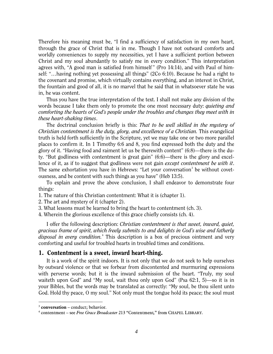Therefore his meaning must be, "I find a sufficiency of satisfaction in my own heart, through the grace of Christ that is in me. Though I have not outward comforts and worldly conveniences to supply my necessities, yet I have a sufficient portion between Christ and my soul abundantly to satisfy me in every condition." This interpretation agrees with, "A good man is satisfied from himself" (Pro 14:14), and with Paul of himself: "…having nothing yet possessing all things" (2Co 6:10). Because he had a right to the covenant and promise, which virtually contains everything, and an interest in Christ, the fountain and good of all, it is no marvel that he said that in whatsoever state he was in, he was content.

Thus you have the true interpretation of the text. I shall not make any division of the words because I take them only to promote the one most necessary duty: *quieting and comforting the hearts of God's people under the troubles and changes they meet with in these heart-shaking times*.

The doctrinal conclusion briefly is this: *That to be well skilled in the mystery of Christian contentment is the duty, glory, and excellence of a Christian.* This evangelical truth is held forth sufficiently in the Scripture, yet we may take one or two more parallel places to confirm it. In 1 Timothy 6:6 and 8, you find expressed both the duty and the glory of it. "Having food and raiment let us be therewith content" (6:8)—there is the duty. "But godliness with contentment is great gain" (6:6)—there is the glory and excellence of it, as if to suggest that godliness were not gain *except contentment be with it*. The same exhortation you have in Hebrews: "Let your conversation" be without covetousness, and be content with such things as you have" (Heb 13:5).

To explain and prove the above conclusion, I shall endeavor to demonstrate four things:

1. The nature of this Christian contentment: What it is (chapter 1).

- 2. The art and mystery of it (chapter 2).
- 3. What lessons must be learned to bring the heart to contentment (ch. 3).
- 4. Wherein the glorious excellence of this grace chiefly consists (ch. 4).

I offer the following description: *Christian contentment is that sweet, inward, quiet, gracious frame of spirit, which freely submits to and delights in God's wise and fatherly disposal in every condition.*[4](#page-4-1) This description is a box of precious ointment and very comforting and useful for troubled hearts in troubled times and conditions.

#### 1. Contentment is a sweet, inward heart-thing.

It is a work of the spirit indoors. It is not only that we do not seek to help ourselves by outward violence or that we forbear from discontented and murmuring expressions with perverse words; but it is the inward submission of the heart. "Truly, my soul waiteth upon God" and "My soul, wait thou only upon God" (Psa 62:1, 5)—so it is in your Bibles, but the words may be translated as correctly: "My soul, be thou silent unto God. Hold thy peace, O my soul." Not only must the tongue hold its peace; the soul must

<span id="page-4-0"></span><sup>3</sup> **conversation** – conduct; behavior.

<span id="page-4-1"></span><sup>4</sup> contentment – see *Free Grace Broadcaster* 213 "Contentment*,*" from CHAPEL LIBRARY.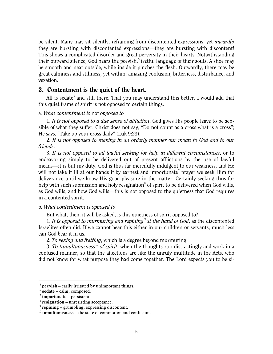be silent. Many may sit silently, refraining from discontented expressions, yet *inwardly*  they are bursting with discontented expressions—they are bursting with discontent! This shows a complicated disorder and great perversity in their hearts. Notwithstanding their outward silence, God hears the peevish,<sup>[5](#page-5-0)</sup> fretful language of their souls. A shoe may be smooth and neat outside, while inside it pinches the flesh. Outwardly, there may be great calmness and stillness, yet within: amazing confusion, bitterness, disturbance, and vexation.

#### 2. Contentment is the quiet of the heart.

All is sedate $^6$  $^6$  and still there. That you may understand this better, I would add that this quiet frame of spirit is not opposed to certain things.

#### a*. What contentment is* not *opposed to*

1. *It is not opposed to a due sense of affliction*. God gives His people leave to be sensible of what they suffer. Christ does not say, "Do not count as a cross what is a cross"; He says, "Take up your cross daily" (Luk 9:23).

2. *It is not opposed to making in an orderly manner our moan to God and to our friends*.

3. *It is not opposed to all lawful seeking for help in different circumstances*, or to endeavoring simply to be delivered out of present afflictions by the use of lawful means—it is but my duty. God is thus far mercifully indulgent to our weakness, and He will not take it ill at our hands if by earnest and importunate<sup>[7](#page-5-2)</sup> prayer we seek Him for deliverance until we know His good pleasure in the matter. Certainly seeking thus for help with such submission and holy resignation<sup>[8](#page-5-3)</sup> of spirit to be delivered when God wills, as God wills, and how God wills—this is not opposed to the quietness that God requires in a contented spirit.

#### b*. What contentment* is *opposed to*

But what, then, it will be asked, is this quietness of spirit opposed to?

1. It is opposed to murmuring and repining<sup>[9](#page-5-4)</sup> at the hand of God, as the discontented Israelites often did. If we cannot bear this either in our children or servants, much less can God bear it in us.

2. *To vexing and fretting*, which is a degree beyond murmuring.

3. *To tumultuousness*[10](#page-5-5) *of spirit*, when the thoughts run distractingly and work in a confused manner, so that the affections are like the unruly multitude in the Acts, who did not know for what purpose they had come together. The Lord expects you to be si-

<span id="page-5-0"></span><sup>5</sup> **peevish** – easily irritated by unimportant things.

<span id="page-5-1"></span><sup>6</sup> **sedate** – calm; composed.

<span id="page-5-2"></span><sup>7</sup> **importunate** – persistent.

<span id="page-5-3"></span><sup>8</sup> **resignation** – unresisting acceptance.

<sup>9</sup> **repining** – grumbling; expressing discontent.

<span id="page-5-5"></span><span id="page-5-4"></span><sup>10</sup> **tumultuousness** – the state of commotion and confusion.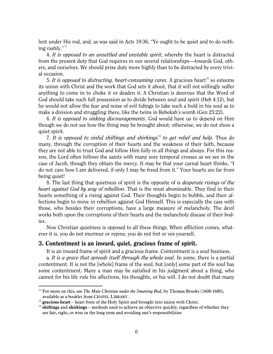lent under His rod, and, as was said in Acts 19:36, "Ye ought to be quiet and to do nothing rashly." $11$ 

4. *It is opposed to an unsettled and unstable spirit*, whereby the heart is distracted from the present duty that God requires in our several relationships—towards God, others, and ourselves. We should prize duty more highly than to be distracted by every trivial occasion.

5. It is opposed to distracting, heart-consuming cares. A gracious heart<sup>[12](#page-6-1)</sup> so esteems its union with Christ and the work that God sets it about, that it will not willingly suffer anything to come in to choke it or deaden it. A Christian is desirous that the Word of God should take such full possession as to divide between soul and spirit (Heb 4:12), but he would not allow the fear and noise of evil tidings to take such a hold in his soul as to make a division and struggling there, like the twins in Rebekah's womb (Gen 25:22).

6. *It is opposed to sinking discouragements*. God would have us to depend on Him though we do not see how the thing may be brought about; otherwise, we do not show a quiet spirit.

7. *It is opposed to sinful shiftings and shirkings*[13](#page-6-2) *to get relief and help.* Thus do many, through the corruption of their hearts and the weakness of their faith, because they are not able to trust God and follow Him fully in all things and always. For this reason, the Lord often follows the saints with many sore temporal crosses as we see in the case of Jacob, though they obtain the mercy. It may be that your carnal heart thinks, "I do not care how I am delivered, if only I may be freed from it." Your hearts are far from being quiet!

8. The last thing that quietness of spirit is the opposite of is *desperate risings of the heart against God by way of rebellion*. That is the most abominable. They find in their hearts something of a rising against God. Their thoughts begin to bubble, and their affections begin to move in rebellion against God Himself. This is especially the case with those, who besides their corruptions, have a large measure of melancholy. The devil works both upon the corruptions of their hearts and the melancholy disease of their bodies.

Now Christian quietness is opposed to all these things. When affliction comes, whatever it is, you do not murmur or repine, you do not fret or vex yourself.

#### 3. Contentment is an inward, quiet, gracious frame of spirit.

It is an inward frame of spirit and a gracious frame. Contentment is a soul business.

a*. It is a grace that spreads itself through the whole soul*. In some, there is a partial contentment. It is not the [whole] frame of the soul, but [only] some part of the soul has some contentment. Many a man may be satisfied in his judgment about a thing, who cannot for his life rule his affections, his thoughts, or his will. I do not doubt that many

<span id="page-6-0"></span> $\overline{a}$ <sup>11</sup> For more on this, see *The Mute Christian under the Smarting Rod*, by Thomas Brooks (1608-1680), available as a booklet from CHAPEL LIBRARY.

<span id="page-6-1"></span><sup>&</sup>lt;sup>12</sup> gracious heart – heart born of the Holy Spirit and brought into union with Christ.

<span id="page-6-2"></span><sup>13</sup> **shiftings** and **shirkings** – methods used to achieve an objective quickly, regardless of whether they are fair, right, or wise in the long term and avoiding one's responsibilities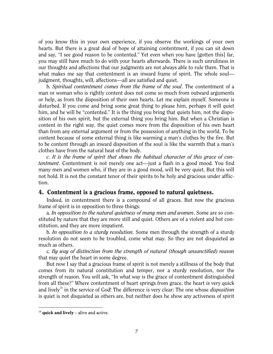of you know this in your own experience, if you observe the workings of your own hearts. But there is a great deal of hope of attaining contentment, if you can sit down and say, "I see good reason to be contented." Yet even when you have [gotten this] far, you may still have much to do with your hearts afterwards. There is such unruliness in our thoughts and affections that our judgments are not always able to rule them. That is what makes me say that contentment is an inward frame of spirit. The whole soul judgment, thoughts, will, affections—all are satisfied and quiet.

b*. Spiritual contentment comes from the frame of the soul*. The contentment of a man or woman who is rightly content does not come so much from outward arguments or help, as from the disposition of their own hearts. Let me explain myself. Someone is disturbed. If you come and bring some great thing to please him, perhaps it will quiet him, and he will be "contented." It is the thing you bring that quiets him, not the disposition of his own spirit, but the external thing you bring him. But when a Christian is content in the right way, the quiet comes more from the disposition of his own heart than from any external argument or from the possession of anything in the world. To be content because of some external thing is like warming a man's clothes by the fire. But to be content through an inward disposition of the soul is like the warmth that a man's clothes have from the natural heat of the body.

*c. It is the frame of spirit that shows the habitual character of this grace of contentment*. Contentment is not merely one act—just a flash in a good mood. You find many men and women who, if they are in a good mood, will be very quiet. But this will not hold. It is not the constant tenor of their spirits to be holy and gracious under affliction.

#### 4. Contentment is a gracious frame, opposed to natural quietness.

Indeed, in contentment there is a compound of all graces. But now the gracious frame of spirit is in opposition to three things:

a*. In opposition to the natural quietness of many men and women*. Some are so constituted by nature that they are more still and quiet. Others are of a violent and hot constitution, and they are more impatient.

b*. In opposition to a sturdy resolution.* Some men through the strength of a sturdy resolution do not seem to be troubled, come what may. So they are not disquieted as much as others.

c*. By way of distinction from the strength of natural (though unsanctified) reason* that may quiet the heart in some degree.

But now I say that a gracious frame of spirit is not merely a stillness of the body that comes from its natural constitution and temper, nor a sturdy resolution, nor the strength of reason. You will ask, "In what way is the grace of contentment distinguished from all these?" Where contentment of heart springs from grace, the heart is very quick and lively<sup>[14](#page-7-0)</sup> in the service of God! The difference is very clear: The one whose *disposition* is quiet is not disquieted as others are, but neither does he show any activeness of spirit

<span id="page-7-0"></span><sup>14</sup> **quick and lively** – alive and active.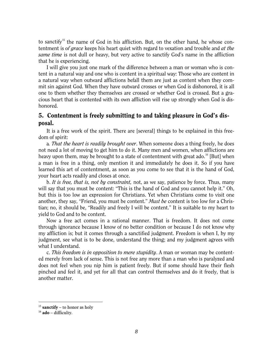to sanctify<sup>[15](#page-8-0)</sup> the name of God in his affliction. But, on the other hand, he whose contentment is *of grace* keeps his heart quiet with regard to vexation and trouble and *at the same time* is not dull or heavy, but very active to sanctify God's name in the affliction that he is experiencing.

I will give you just one mark of the difference between a man or woman who is content in a natural way and one who is content in a spiritual way: Those who are content in a natural way when outward afflictions befall them are just as content when they commit sin against God. When they have outward crosses or when God is dishonored, it is all one to them whether they themselves are crossed or whether God is crossed. But a gracious heart that is contented with its own affliction will rise up strongly when God is dishonored.

#### 5. Contentment is freely submitting to and taking pleasure in God's disposal.

It is a free work of the spirit. There are [several] things to be explained in this freedom of spirit:

a*. That the heart is readily brought over*. When someone does a thing freely, he does not need a lot of moving to get him to do it. Many men and women, when afflictions are heavy upon them, may be brought to a state of contentment with great ado.<sup>[16](#page-8-1)</sup> [But] when a man is free in a thing, only mention it and immediately he does it. So if you have learned this art of contentment, as soon as you come to see that it is the hand of God, your heart acts readily and closes at once.

b. *It is free, that is, not by constraint,* not, as we say, patience by force. Thus, many will say that you must be content: "This is the hand of God and you cannot help it." Oh, but this is too low an expression for Christians. Yet when Christians come to visit one another, they say, "Friend, you must be content." *Must be* content is too low for a Christian; no, it should be, "Readily and freely I will be content." It is suitable to my heart to yield to God and to be content.

Now a free act comes in a rational manner. That is freedom. It does not come through ignorance because I know of no better condition or because I do not know why my affliction is; but it comes through a sanctified judgment. Freedom is when I, by my judgment, see what is to be done, understand the thing; and my judgment agrees with what I understand.

c. *This freedom is in opposition to mere stupidity*. A man or woman may be contented merely from lack of sense. This is not free any more than a man who is paralyzed and does not feel when you nip him is patient freely. But if some should have their flesh pinched and feel it, and yet for all that can control themselves and do it freely, that is another matter.

<span id="page-8-0"></span> $15$  **sanctify** – to honor as holy

<span id="page-8-1"></span><sup>16</sup> **ado** – difficulty.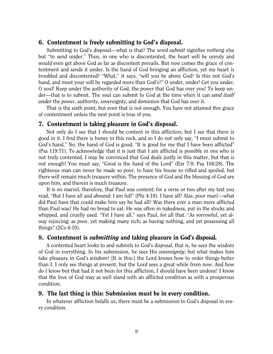#### 6. Contentment is freely submitting to God's disposal.

Submitting to God's disposal—what is that? The word *submit* signifies nothing else but "to send under." Thus, in one who is discontented, the heart will be unruly and would even get above God as far as discontent prevails. But now comes the grace of contentment and sends it under. Is the hand of God bringing an affliction, yet my heart is troubled and discontented? "What," it says, "will you be above God? Is this not God's hand, and must your will be regarded more than God's?" O under, under! Get you under, O soul! Keep under the authority of God, the power that God has over you! To keep under—that is to submit. The soul can submit to God at the time when it can *send itself under* the power, authority, sovereignty, and dominion that God has over it.

That is the sixth point, but even that is not enough. You have not attained this grace of contentment unless the next point is true of you.

#### 7. Contentment is taking pleasure in God's disposal.

Not only do I see that I should be content in this affliction, but I see that there is good in it. I find there is honey in this rock, and so I do not only say, "I must submit to God's hand." No, the hand of God is good, "It is good for me that I have been afflicted" (Psa 119:71). To acknowledge that it is just that I am afflicted is possible in one who is not truly contented. I may be convinced that God deals justly in this matter, but that is not enough! You must say, "Good is the hand of the Lord" (Ezr 7:9; Psa 104:28). The righteous man can never be made so poor, to have his house so rifled and spoiled, but there will remain much treasure within. The presence of God and the blessing of God are upon him, and therein is much treasure.

It is no marvel, therefore, that Paul was content; for a verse or two after my text you read, "But I have all and abound: I am full" (Phi 4:18). I have all? Alas, poor man!—what did Paul have that could make him say he had all? Was there ever a man more afflicted than Paul was? He had no bread to eat. He was often in nakedness, put in the stocks and whipped, and cruelly used. "Yet I have all," says Paul, for all that. "As sorrowful, yet alway rejoicing; as poor, yet making many rich; as having nothing, and yet possessing all things" (2Co 6:10).

#### 8. Contentment is *submitting* and taking pleasure in God's disposal.

A contented heart looks to and submits to God's disposal, that is, he sees the wisdom of God in everything. In his submission, he sees His *sovereignty*; but what makes him take pleasure in God's *wisdom*? [It is this:] the Lord knows how to order things better than I. I only see things at present, but the Lord sees a great while from now. And how do I know but that had it not been for this affliction, I should have been undone! I know that the love of God may as well stand with an afflicted condition as with a prosperous condition.

#### 9. The last thing is this: Submission must be in every condition.

In whatever affliction befalls us, there must be a submission to God's disposal in every condition.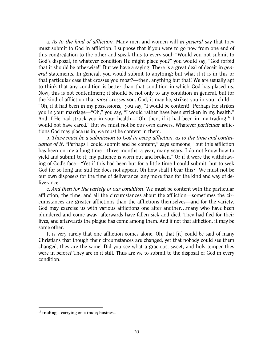a. *As to the kind of affliction.* Many men and women will *in general* say that they must submit to God in affliction. I suppose that if you were to go now from one end of this congregation to the other and speak thus to every soul: "Would you not submit to God's disposal, in whatever condition He might place you?" you would say, "God forbid that it should be otherwise!" But we have a saying: There is a great deal of deceit in *general* statements. In general, you would submit to anything; but what if it is in this or that particular case that crosses you most?—then, anything but that! We are usually apt to think that any condition is better than that condition in which God has placed us. Now, this is not contentment; it should be not only to any condition in general, but for the kind of affliction that *most* crosses you. God, it may be, strikes you in your child— "Oh, if it had been in my possessions," you say, "I would be content!" Perhaps He strikes you in your marriage—"Oh," you say, "I would rather have been stricken in my health." And if He had struck you in your health—"Oh, then, if it had been in my trading, $^{17}$  $^{17}$  $^{17}$  I would not have cared." But we must not be our own carvers. Whatever *particular* afflictions God may place us in, we must be content in them.

b. *There must be a submission to God in every affliction, as to the time and continuance of it*. "Perhaps I could submit and be content," says someone, "but this affliction has been on me a long time—three months, a year, many years. I do not know how to yield and submit to it; my patience is worn out and broken." Or if it were the withdrawing of God's face—"Yet if this had been but for a little time I could submit; but to seek God for so long and still He does not appear, Oh how shall I bear this?" We must not be our own disposers for the time of deliverance, any more than for the kind and way of deliverance.

c. *And then for the variety of our condition*. We must be content with the particular affliction, the time, and all the circumstances about the affliction—sometimes the circumstances are greater afflictions than the afflictions themselves—and for the variety. God may exercise us with various afflictions one after another…many who have been plundered and come away, afterwards have fallen sick and died. They had fled for their lives, and afterwards the plague has come among them. And if not that affliction, it may be some other.

It is very rarely that one affliction comes alone. Oh, that [it] could be said of many Christians that though their circumstances are changed, yet that nobody could see them changed; they are the same! Did you see what a gracious, sweet, and holy temper they were in before? They are in it still. Thus are we to submit to the disposal of God in every condition.

<span id="page-10-0"></span> $17$  trading – carrying on a trade; business.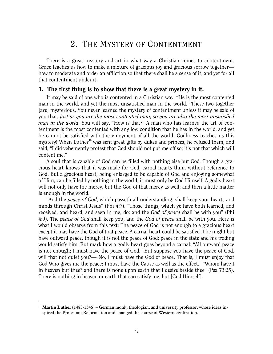## 2. THE MYSTERY OF CONTENTMENT

<span id="page-11-0"></span>There is a great mystery and art in what way a Christian comes to contentment. Grace teaches us how to make a mixture of gracious joy and gracious sorrow together how to moderate and order an affliction so that there shall be a sense of it, and yet for all that contentment under it.

#### 1. The first thing is to show that there is a great mystery in it.

It may be said of one who is contented in a Christian way, "He is the most contented man in the world, and yet the most unsatisfied man in the world." These two together [are] mysterious. You never learned the mystery of contentment unless it may be said of you that, *just as you are the most contented man, so you are also the most unsatisfied man in the world*. You will say, "How is that?" A man who has learned the art of contentment is the most contented with any low condition that he has in the world, and yet he cannot be satisfied with the enjoyment of all the world. Godliness teaches us this mystery! When Luther<sup>[18](#page-11-1)</sup> was sent great gifts by dukes and princes, he refused them, and said, "I did vehemently protest that God should not put me off so; 'tis not that which will content me."

A soul that is capable of God can be filled with nothing else but God. Though a gracious heart knows that it was made for God, carnal hearts think without reference to God. But a gracious heart, being enlarged to be capable of God and enjoying somewhat of Him, can be filled by nothing in the world; it must only be God Himself. A godly heart will not only have the mercy, but the God of that mercy as well; and then a little matter is enough in the world.

"And the *peace of God*, which passeth all understanding, shall keep your hearts and minds through Christ Jesus" (Phi 4:7). "Those things, which ye have both learned, and received, and heard, and seen in me, do: and the *God of peace* shall be with you" (Phi 4:9). The *peace of God* shall keep you, and the *God of peace* shall be with you. Here is what I would observe from this text: The peace of God is not enough to a gracious heart except it may have the God of that peace. A carnal heart could be satisfied if he might but have outward peace, though it is not the peace of God; peace in the state and his trading would satisfy him. But mark how a godly heart goes beyond a carnal: "All outward peace is not enough; I must have the peace of God." But suppose you have the peace of God, will that not quiet you?—"No, I must have the God of peace. That is, I must enjoy that God Who gives me the peace; I must have the Cause as well as the effect." "Whom have I in heaven but thee? and there is none upon earth that I desire beside thee" (Psa 73:25). There is nothing in heaven or earth that can satisfy me, but [God Himself].

<span id="page-11-1"></span><sup>&</sup>lt;sup>18</sup> Martin Luther (1483-1546) – German [monk,](http://en.wikipedia.org/wiki/Monk) [theologian,](http://en.wikipedia.org/wiki/Theology) and university professor, whose ideas inspired the [Protestant Reformation](http://en.wikipedia.org/wiki/Protestant_Reformation) and changed the course of [Western civilization.](http://en.wikipedia.org/wiki/Western_civilization)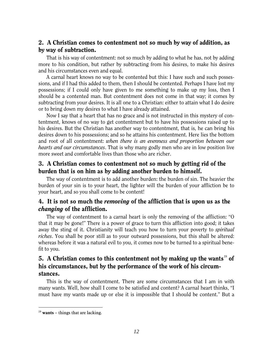#### 2. A Christian comes to contentment not so much by way of addition, as by way of subtraction.

That is his way of contentment: not so much by adding to what he has, not by adding more to his condition, but rather by subtracting from his desires, to make his desires and his circumstances even and equal.

A carnal heart knows no way to be contented but this: I have such and such possessions, and if I had this added to them, then I should be contented. Perhaps I have lost my possessions; if I could only have given to me something to make up my loss, then I should be a contented man. But contentment does not come in that way; it comes by subtracting from your desires. It is all one to a Christian: either to attain what I do desire or to bring down my desires to what I have already attained.

Now I say that a heart that has no grace and is not instructed in this mystery of contentment, knows of no way to get contentment but to have his possessions raised up to his desires. But the Christian has another way to contentment, that is, he can bring his desires down to his possessions; and so he attains his contentment. Here lies the bottom and root of all contentment: *when there is an evenness and proportion between our hearts and our circumstances*. That is why many godly men who are in low position live more sweet and comfortable lives than those who are richer.

#### 3. A Christian comes to contentment not so much by getting rid of the burden that is on him as by adding another burden to himself.

The way of contentment is to add another burden: the burden of sin. The heavier the burden of your sin is to your heart, the lighter will the burden of your affliction be to your heart, and so you shall come to be content!

#### 4. It is not so much the *removing* of the affliction that is upon us as the *changing* of the affliction.

The way of contentment to a carnal heart is only the removing of the affliction: "O that it may be gone!" There is a power of grace to turn this affliction into good; it takes away the sting of it. Christianity will teach you how to turn your poverty to *spiritual riches*. You shall be poor still as to your outward possessions, but this shall be altered: whereas before it was a natural evil to you, it comes now to be turned to a spiritual benefit to you.

#### 5. A Christian comes to this contentment not by making up the wants<sup>[19](#page-12-0)</sup> of his circumstances, but by the performance of the work of his circumstances.

This is the way of contentment. There are some circumstances that I am in with many wants. Well, how shall I come to be satisfied and content? A carnal heart thinks, "I must have my wants made up or else it is impossible that I should be content." But a

<span id="page-12-0"></span> $\overline{a}$ <sup>19</sup> **wants** – things that are lacking.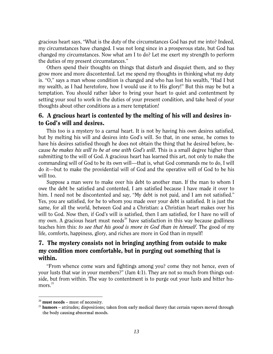gracious heart says, "What is the duty of the circumstances God has put me into? Indeed, my circumstances have changed. I was not long since in a prosperous state, but God has changed my circumstances. Now what am I to do? Let me exert my strength to perform the duties of my present circumstances."

Others spend their thoughts on things that disturb and disquiet them, and so they grow more and more discontented. Let me spend my thoughts in thinking what my duty is. "O," says a man whose condition is changed and who has lost his wealth, "Had I but my wealth, as I had heretofore, how I would use it to His glory!" But this may be but a temptation. You should rather labor to bring your heart to quiet and contentment by setting your soul to work in the duties of your present condition, and take heed of your thoughts about other conditions as a mere temptation!

#### 6. A gracious heart is contented by the melting of his will and desires into God's will and desires.

This too is a mystery to a carnal heart. It is not by having his own desires satisfied, but by melting his will and desires into God's will. So that, in one sense, he comes to have his desires satisfied though he does not obtain the thing that he desired before, because *he makes his will to be at one with God's will*. This is a small degree higher than submitting to the will of God. A gracious heart has learned this art, not only to make the commanding will of God to be its own will—that is, what God commands me to do, I will do it—but to make the providential will of God and the operative will of God to be his will too.

Suppose a man were to make over his debt to another man. If the man to whom I owe the debt be satisfied and contented, I am satisfied because I have made it over to him. I need not be discontented and say, "My debt is not paid, and I am not satisfied." Yes, you are satisfied, for he to whom you made over your debt is satisfied. It is just the same, for all the world, between God and a Christian: a Christian heart makes over his will to God. Now then, if God's will is satisfied, then I am satisfied, for I have no will of my own. A gracious heart must needs<sup>[20](#page-13-0)</sup> have satisfaction in this way because godliness teaches him this: *to see that his good is more in God than in himself*. The good of my life, comforts, happiness, glory, and riches are more in God than in myself!

#### 7. The mystery consists not in bringing anything from outside to make my condition more comfortable, but in purging out something that is within.

"From whence come wars and fightings among you? come they not hence, even of your lusts that war in your members?" (Jam 4:1). They are not so much from things outside, but from within. The way to contentment is to purge out your lusts and bitter humors. [21](#page-13-1)

<span id="page-13-0"></span><sup>20</sup> **must needs** – must of necessity.

<span id="page-13-1"></span><sup>&</sup>lt;sup>21</sup> **humors** – attitudes; dispositions; taken from early medical theory that certain vapors moved through the body causing abnormal moods.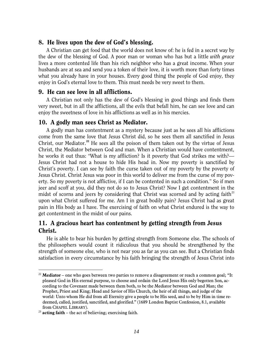#### 8. He lives upon the dew of God's blessing.

A Christian can get food that the world does not know of: he is fed in a secret way by the dew of the blessing of God. A poor man or woman who has but a little *with grace* lives a more contented life than his rich neighbor who has a great income. When your husbands are at sea and send you a token of their love, it is worth more than forty times what you already have in your houses. Every good thing the people of God enjoy, they enjoy in God's eternal love to them. This must needs be very sweet to them.

#### 9. He can see love in all afflictions.

A Christian not only has the dew of God's blessing in good things and finds them very sweet, but in all the afflictions, all the evils that befall him, he can see love and can enjoy the sweetness of love in his afflictions as well as in his mercies.

#### 10. A godly man sees Christ as Mediator.

A godly man has contentment as a mystery because just as he sees all his afflictions come from the same love that Jesus Christ did, so he sees them all sanctified in Jesus Christ, our Mediator.<sup>[22](#page-14-0)</sup> He sees all the poison of them taken out by the virtue of Jesus Christ, the Mediator between God and man. When a Christian would have contentment, he works it out thus: "What is my affliction? Is it poverty that God strikes me with?— Jesus Christ had not a house to hide His head in. Now my poverty is sanctified by Christ's poverty. I can see by faith the curse taken out of my poverty by the poverty of Jesus Christ. Christ Jesus was poor in this world to deliver me from the curse of my poverty. So my poverty is not afflictive, if I can be contented in such a condition." So if men jeer and scoff at you, did they not do so to Jesus Christ? Now I get contentment in the midst of scorns and jeers by considering that Christ was scorned and by acting faith $^{23}$  $^{23}$  $^{23}$ upon what Christ suffered for me. Am I in great bodily pain? Jesus Christ had as great pain in His body as I have. The exercising of faith on what Christ endured is the way to get contentment in the midst of our pains.

#### 11. A gracious heart has contentment by getting strength from Jesus Christ.

He is able to bear his burden by getting strength from Someone else. The schools of the philosophers would count it ridiculous that you should be strengthened by the strength of someone else, who is not near you as far as you can see. But a Christian finds satisfaction in every circumstance by his faith bringing the strength of Jesus Christ into

<span id="page-14-0"></span> $\overline{a}$ <sup>22</sup> Mediator – one who goes between two parties to remove a disagreement or reach a common goal; "It pleased God in His eternal purpose, to choose and ordain the Lord Jesus His only begotten Son, according to the Covenant made between them both, to be the Mediator between God and Man; the Prophet, Priest and King; Head and Savior of His Church, the heir of all things, and judge of the world: Unto whom He did from all Eternity give a people to be His seed, and to be by Him in time redeemed, called, justified, sanctified, and glorified." (1689 London Baptist Confession, 8.1, available from CHAPEL LIBRARY).

<span id="page-14-1"></span> $^{23}$  **acting faith** – the act of believing; exercising faith.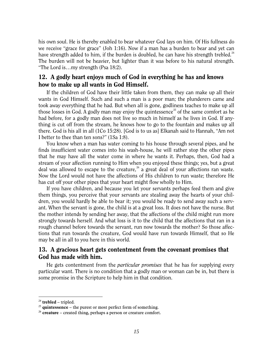his own soul. He is thereby enabled to bear whatever God lays on him. Of His fullness do we receive "grace for grace" (Joh 1:16). Now if a man has a burden to bear and yet can have strength added to him, if the burden is doubled, he can have his strength trebled.<sup>[24](#page-15-0)</sup> The burden will not be heavier, but lighter than it was before to his natural strength. "The Lord is…my strength (Psa 18:2).

#### 12. A godly heart enjoys much of God in everything he has and knows how to make up all wants in God Himself.

If the children of God have their little taken from them, they can make up all their wants in God Himself. Such and such a man is a poor man; the plunderers came and took away everything that he had. But when all is gone, godliness teaches to make up all those losses in God. A godly man may enjoy the quintessence<sup>[25](#page-15-1)</sup> of the same comfort as he had before, for a godly man does not live so much in himself as he lives in God. If anything is cut off from the stream, he knows how to go to the fountain and makes up all there. God is his all in all (1Co 15:28). [God is to us as] Elkanah said to Hannah, "Am not I better to thee than ten sons?" (1Sa 1:8).

You know when a man has water coming to his house through several pipes, and he finds insufficient water comes into his wash-house, he will rather stop the other pipes that he may have all the water come in where he wants it. Perhaps, then, God had a stream of your affection running to Him when you enjoyed these things; yes, but a great deal was allowed to escape to the creature, $26$  a great deal of your affections ran waste. Now the Lord would not have the affections of His children to run waste; therefore He has cut off your other pipes that your heart might flow wholly to Him.

If you have children, and because you let your servants perhaps feed them and give them things, you perceive that your servants are stealing away the hearts of your children, you would hardly be able to bear it; you would be ready to send away such a servant. When the servant is gone, the child is at a great loss. It does not have the nurse. But the mother intends by sending her away, that the affections of the child might run more strongly towards herself. And what loss is it to the child that the affections that ran in a rough channel before towards the servant, run now towards the mother? So those affections that run towards the creature, God would have run towards Himself, that so He may be all in all to you here in this world.

#### 13. A gracious heart gets contentment from the covenant promises that God has made with him.

He gets contentment from the *particular promises* that he has for supplying every particular want. There is no condition that a godly man or woman can be in, but there is some promise in the Scripture to help him in that condition.

<span id="page-15-0"></span> $24$  trebled – tripled.

<span id="page-15-1"></span><sup>&</sup>lt;sup>25</sup> quintessence – the purest or most perfect form of something.

<span id="page-15-2"></span><sup>&</sup>lt;sup>26</sup> creature – created thing, perhaps a person or creature comfort.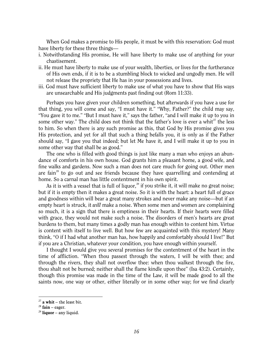When God makes a promise to His people, it must be with this reservation: God must have liberty for these three things—

- i. Notwithstanding His promise, He will have liberty to make use of anything for your chastisement.
- ii. He must have liberty to make use of your wealth, liberties, or lives for the furtherance of His own ends, if it is to be a stumbling block to wicked and ungodly men. He will not release the propriety that He has in your possessions and lives.
- iii. God must have sufficient liberty to make use of what you have to show that His ways are unsearchable and His judgments past finding out (Rom 11:33).

Perhaps you have given your children something, but afterwards if you have a use for that thing, you will come and say, "I must have it." "Why, Father?" the child may say, "You gave it to me." "But I must have it," says the father, "and I will make it up to you in some other way." The child does not think that the father's love is ever a whit<sup>[27](#page-16-0)</sup> the less to him. So when there is any such promise as this, that God by His promise gives you His protection, and yet for all that such a thing befalls you, it is only as if the Father should say, "I gave you that indeed; but let Me have it, and I will make it up to you in some other way that shall be as good."

The one who is filled with good things is just like many a man who enjoys an abundance of comforts in his own house. God grants him a pleasant home, a good wife, and fine walks and gardens. Now such a man does not care much for going out. Other men are fain<sup>[28](#page-16-1)</sup> to go out and see friends because they have quarrelling and contending at home. So a carnal man has little contentment in his own spirit.

As it is with a vessel that is full of liquor,<sup>[29](#page-16-2)</sup> if you strike it, it will make no great noise; but if it is empty then it makes a great noise. So it is with the heart: a heart full of grace and goodness within will bear a great many strokes and never make any noise—but if an empty heart is struck, it *will* make a noise. When some men and women are complaining so much, it is a sign that there is emptiness in their hearts. If their hearts were filled with grace, they would not make such a noise. The disorders of men's hearts are great burdens to them, but many times a godly man has enough within to content him. Virtue is content with itself to live well. But how few are acquainted with this mystery! Many think, "O if I had what another man has, how happily and comfortably should I live!" But if you are a Christian, whatever your condition, you have enough within yourself.

I thought I would give you several promises for the contentment of the heart in the time of affliction. "When thou passest through the waters, I will be with thee; and through the rivers, they shall not overflow thee: when thou walkest through the fire, thou shalt not be burned; neither shall the flame kindle upon thee" (Isa 43:2). Certainly, though this promise was made in the time of the Law, it will be made good to all the saints now, one way or other, either literally or in some other way; for we find clearly

<span id="page-16-0"></span> $27$  **a** whit – the least bit.

<span id="page-16-1"></span><sup>28</sup> **fain** – eager.

<span id="page-16-2"></span><sup>29</sup> **liquor** – any liquid.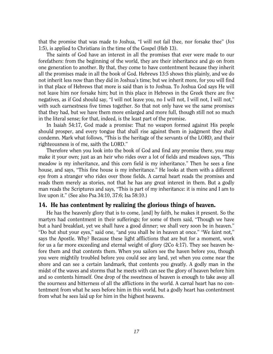that the promise that was made to Joshua, "I will not fail thee, nor forsake thee" (Jos 1:5), is applied to Christians in the time of the Gospel (Heb 13).

The saints of God have an interest in all the promises that ever were made to our forefathers: from the beginning of the world, they are their inheritance and go on from one generation to another. By that, they come to have contentment because they inherit all the promises made in all the book of God. Hebrews 13:5 shows this plainly, and we do not inherit less now than they did in Joshua's time; but we inherit more, for you will find in that place of Hebrews that more is said than is to Joshua. To Joshua God says He will not leave him nor forsake him; but in this place in Hebrews in the Greek there are five negatives, as if God should say, "I will not leave you, no I will not, I will not, I will not," with such earnestness five times together. So that not only have we the same promises that they had, but we have them more enlarged and more full, though still not so much in the literal sense; for that, indeed, is the least part of the promise.

In Isaiah 54:17, God made a promise: That no weapon formed against His people should prosper, and every tongue that shall rise against them in judgment they shall condemn. Mark what follows, "This is the heritage of the servants of the LORD, and their righteousness is of me, saith the LORD."

Therefore when you look into the book of God and find any promise there, you may make it your own; just as an heir who rides over a lot of fields and meadows says, "This meadow is my inheritance, and this corn field is my inheritance." Then he sees a fine house, and says, "This fine house is my inheritance." He looks at them with a different eye from a stranger who rides over those fields. A carnal heart reads the promises and reads them merely as stories, not that he has any great interest in them. But a godly man reads the Scriptures and says, "This is part of my inheritance: it is mine and I am to live upon it." (See also Psa 34:10, 37:6; Isa 58:10.)

#### 14. He has contentment by realizing the glorious things of heaven.

He has the heavenly glory that is to come, [and] by faith, he makes it present. So the martyrs had contentment in their sufferings; for some of them said, "Though we have but a hard breakfast, yet we shall have a good dinner; we shall very soon be in heaven." "Do but shut your eyes," said one, "and you shall be in heaven at once." "We faint not," says the Apostle. Why? Because these light afflictions that are but for a moment, work for us a far more exceeding and eternal weight of glory (2Co 4:17). They see heaven before them and that contents them. When you sailors see the haven before you, though you were mightily troubled before you could see any land, yet when you come near the shore and can see a certain landmark, that contents you greatly. A godly man in the midst of the waves and storms that he meets with can see the glory of heaven before him and so contents himself. One drop of the sweetness of heaven is enough to take away all the sourness and bitterness of all the afflictions in the world. A carnal heart has no contentment from what he sees before him in this world, but a godly heart has contentment from what he sees laid up for him in the highest heavens.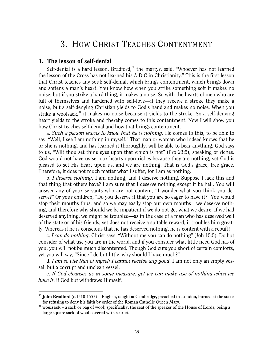## 3. HOW CHRIST TEACHES CONTENTMENT

#### <span id="page-18-0"></span>1. The lesson of self-denial

 $\overline{a}$ 

Self-denial is a hard lesson. Bradford, $30$  the martyr, said, "Whoever has not learned the lesson of the Cross has not learned his A-B-C in Christianity." This is the first lesson that Christ teaches any soul: self-denial, which brings contentment, which brings down and softens a man's heart. You know how when you strike something soft it makes no noise; but if you strike a hard thing, it makes a noise. So with the hearts of men who are full of themselves and hardened with self-love—if they receive a stroke they make a noise, but a self-denying Christian yields to God's hand and makes no noise. When you strike a woolsack, $31$  it makes no noise because it yields to the stroke. So a self-denying heart yields to the stroke and thereby comes to this contentment. Now I will show you how Christ teaches self-denial and how that brings contentment.

a. *Such a person learns to know that he* is *nothing*. He comes to this, to be able to say, "Well, I see I am nothing in myself." That man or woman who indeed knows that he or she is nothing, and has learned it thoroughly, will be able to bear anything. God says to us, "Wilt thou set thine eyes upon that which is not" (Pro 23:5), speaking of riches. God would not have us set our hearts upon riches because they are nothing; yet God is pleased to set His heart upon us, and we are nothing. That is God's grace, free grace. Therefore, it does not much matter what I suffer, for I am as nothing.

b. *I deserve nothing*. I am nothing, and I deserve nothing. Suppose I lack this and that thing that others have? I am sure that I deserve nothing except it be hell. You will answer any of your servants who are not content, "I wonder what you think you deserve?" Or your children, "Do you deserve it that you are so eager to have it?" You would stop their mouths thus, and so we may easily stop our own mouths—we deserve nothing, and therefore why should we be impatient if we do not get what we desire. If we had deserved anything, we might be troubled—as in the case of a man who has deserved well of the state or of his friends, yet does not receive a suitable reward, it troubles him greatly. Whereas if he is conscious that he has deserved nothing, he is content with a rebuff!

c. *I can do nothing*. Christ says, "Without me you can do nothing" (Joh 15:5). Do but consider of what use you are in the world, and if you consider what little need God has of you, you will not be much discontented. Though God cuts you short of certain comforts, yet you will say, "Since I do but little, why should I have much?"

d. *I am so vile that of myself I cannot receive any good*. I am not only an empty vessel, but a corrupt and unclean vessel.

e. *If God cleanses us in some measure, yet we can make use of nothing when we have it*, if God but withdraws Himself.

<span id="page-18-1"></span><sup>30</sup> **John Bradford** (c.1510-1555) – English, taught at Cambridge, preached in London, burned at the stake for refusing to deny his faith by order of the Roman Catholic Queen Mary.

<span id="page-18-2"></span><sup>31</sup> **woolsack** – a sack or bag of wool; specifically, the seat of the speaker of the House of Lords, being a large square sack of wool covered with scarlet.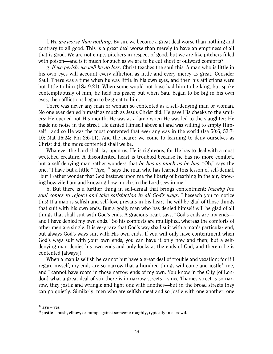f. *We are worse than nothing*. By sin, we become a great deal worse than nothing and contrary to all good. This is a great deal worse than merely to have an emptiness of all that is good. We are not empty pitchers in respect of good, but we are like pitchers filled with poison—and is it much for such as we are to be cut short of outward comforts?

g. *If we perish, we will be no loss*. Christ teaches the soul this. A man who is little in his own eyes will account every affliction as little and every mercy as great. Consider Saul: There was a time when he was little in his own eyes, and then his afflictions were but little to him (1Sa 9:21). When some would not have had him to be king, but spoke contemptuously of him, he held his peace; but when Saul began to be big in his own eyes, then afflictions began to be great to him.

There was never any man or woman so contented as a self-denying man or woman. No one ever denied himself as much as Jesus Christ did. He gave His cheeks to the smiters; He opened not His mouth; He was as a lamb when He was led to the slaughter; He made no noise in the street. He denied Himself above all and was willing to empty Himself—and so He was the most contented that ever any was in the world (Isa 50:6, 53:7- 10; Mat 16:24; Phi 2:6-11). And the nearer we come to learning to deny ourselves as Christ did, the more contented shall we be.

Whatever the Lord shall lay upon us, He is righteous, for He has to deal with a most wretched creature. A discontented heart is troubled because he has no more comfort, but a self-denying man rather wonders that *he has as much as he has*. "Oh," says the one, "I have but a little." "Aye,"<sup>[32](#page-19-0)</sup> says the man who has learned this lesson of self-denial, "but I rather wonder that God bestows upon me the liberty of breathing in the air, knowing how vile I am and knowing how much sin the Lord sees in me."

h. But there is a further thing in self-denial that brings contentment: *thereby the soul comes to rejoice and take satisfaction in all God's ways*. I beseech you to notice this! If a man is selfish and self-love prevails in his heart, he will be glad of those things that suit with his own ends. But a godly man who has denied himself will be glad of all things that shall suit with God's ends. A gracious heart says, "God's ends are my ends and I have denied my own ends." So his comforts are multiplied, whereas the comforts of other men are single. It is very rare that God's way shall suit with a man's particular end, but always God's ways suit with His own ends. If you will only have contentment when God's ways suit with your own ends, you can have it only now and then; but a selfdenying man denies his own ends and only looks at the ends of God, and therein he is contented [always]!

When a man is selfish he cannot but have a great deal of trouble and vexation; for if I regard myself, my ends are so narrow that a hundred things will come and jostle $^{33}$  $^{33}$  $^{33}$  me, and I cannot have room in those narrow ends of my own. You know in the City [of London] what a great deal of stir there is in narrow streets—since Thames street is so narrow, they jostle and wrangle and fight one with another—but in the broad streets they can go quietly. Similarly, men who are selfish meet and so jostle with one another: one

<span id="page-19-0"></span> $32$  **ave** – yes.

<span id="page-19-1"></span><sup>&</sup>lt;sup>33</sup> jostle – push, elbow, or bump against someone roughly, typically in a crowd.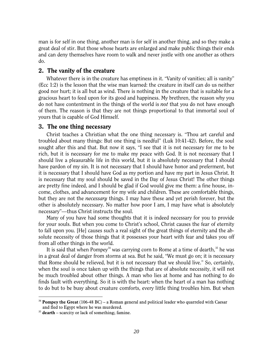man is for self in one thing, another man is for self in another thing, and so they make a great deal of stir. But those whose hearts are enlarged and make public things their ends and can deny themselves have room to walk and never jostle with one another as others do.

#### 2. The vanity of the creature

Whatever there is in the creature has emptiness in it. "Vanity of vanities; all is vanity" (Ecc 1:2) is the lesson that the wise man learned: the creature in itself can do us neither good nor hurt; it is all but as wind. There is nothing in the creature that is suitable for a gracious heart to feed upon for its good and happiness. My brethren, the reason why you do not have contentment in the things of the world is *not* that you do not have enough of them. The reason is that they are not things proportional to that immortal soul of yours that is capable of God Himself.

#### 3. The one thing necessary

Christ teaches a Christian what the one thing necessary is. "Thou art careful and troubled about many things: But one thing is needful" (Luk 10:41-42). Before, the soul sought after this and that. But now it says, "I see that it is not necessary for me to be rich, but it is necessary for me to make my peace with God. It is not necessary that I should live a pleasurable life in this world, but it is absolutely necessary that I should have pardon of my sin. It is not necessary that I should have honor and preferment, but it is necessary that I should have God as my portion and have my part in Jesus Christ. It is necessary that my soul should be saved in the Day of Jesus Christ! The other things are pretty fine indeed, and I should be glad if God would give me them: a fine house, income, clothes, and advancement for my wife and children. These are comfortable things, but they are not the *necessary* things. I may have these and yet perish forever, but the other is absolutely necessary. No matter how poor I am, I may have what is absolutely necessary"—thus Christ instructs the soul.

Many of you have had some thoughts that it is indeed necessary for you to provide for your souls. But when you come to Christ's school, Christ causes the fear of eternity to fall upon you. [He] causes such a real sight of the great things of eternity and the absolute necessity of those things that it possesses your heart with fear and takes you off from all other things in the world.

It is said that when Pompey<sup>[34](#page-20-0)</sup> was carrying corn to Rome at a time of dearth,<sup>[35](#page-20-1)</sup> he was in a great deal of danger from storms at sea. But he said, "We must go on; it is necessary that Rome should be relieved, but it is not necessary that we should live." So, certainly, when the soul is once taken up with the things that are of absolute necessity, it will not be much troubled about other things. A man who lies at home and has nothing to do finds fault with everything. So it is with the heart: when the heart of a man has nothing to do but to be busy about creature comforts, every little thing troubles him. But when

<span id="page-20-0"></span><sup>34</sup> **Pompey the Great** (106-48 BC) – a Roman general and political leader who quarreled with Caesar and fled to Egypt where he was murdered.

<span id="page-20-1"></span><sup>&</sup>lt;sup>35</sup> dearth – scarcity or lack of something; famine.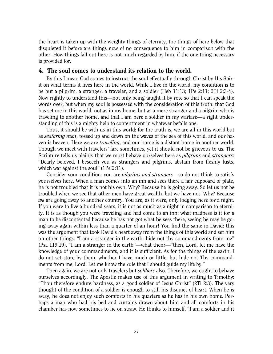the heart is taken up with the weighty things of eternity, the things of here below that disquieted it before are things now of no consequence to him in comparison with the other. How things fall out here is not much regarded by him, if the one thing necessary is provided for.

#### 4. The soul comes to understand its relation to the world.

By this I mean God comes to instruct the soul effectually through Christ by His Spirit on what terms it lives here in the world. While I live in the world, my condition is to be but a pilgrim, a stranger, a traveler, and a soldier (Heb 11:13; 1Pe 2:11; 2Ti 2:3-4). Now rightly to understand this—not only being taught it by rote so that I can speak the words over, but when my soul is possessed with the consideration of this truth: that God has set me in this world, not as in my home, but as a mere stranger and a pilgrim who is traveling to another home, and that I am here a soldier in my warfare—a right understanding of this is a mighty help to contentment in whatever befalls one.

Thus, it should be with us in this world; for the truth is, we are all in this world but as *seafaring men*, tossed up and down on the waves of the sea of this world, and our haven is heaven. Here we are *traveling*, and our home is a distant home in another world. Though we meet with travelers' fare sometimes, yet it should not be grievous to us. The Scripture tells us plainly that we must behave ourselves here as *pilgrims* and *strangers*: "Dearly beloved, I beseech you as strangers and pilgrims, abstain from fleshly lusts, which war against the soul" (1Pe 2:11).

Consider your condition: you are *pilgrims and strangers*—so do not think to satisfy yourselves here. When a man comes into an inn and sees there a fair cupboard of plate, he is not troubled that it is not his own. Why? Because he is going away. So let us not be troubled when we see that other men have great wealth, but we have not. Why? Because *we* are going away to another country. You are, as it were, only lodging here for a night. If you were to live a hundred years, it is not as much as a night in comparison to eternity. It is as though you were traveling and had come to an inn: what madness is it for a man to be discontented because he has not got what he sees there, seeing he may be going away again within less than a quarter of an hour! You find the same in David: this was the argument that took David's heart away from the things of this world and set him on other things: "I am a stranger in the earth: hide not thy commandments from me" (Psa 119:19). "I am a stranger in the earth"—what then?—"then, Lord, let me have the knowledge of your commandments, and it is sufficient. As for the things of the earth, I do not set store by them, whether I have much or little; but hide not Thy commandments from me, Lord! Let me know the rule that I should guide my life by."

Then again, we are not only travelers but *soldiers* also. Therefore, we ought to behave ourselves accordingly. The Apostle makes use of this argument in writing to Timothy: "Thou therefore endure hardness, as a good soldier of Jesus Christ" (2Ti 2:3). The very thought of the condition of a soldier is enough to still his disquiet of heart. When he is away, he does not enjoy such comforts in his quarters as he has in his own home. Perhaps a man who had his bed and curtains drawn about him and all comforts in his chamber has now sometimes to lie on straw. He thinks to himself, "I am a soldier and it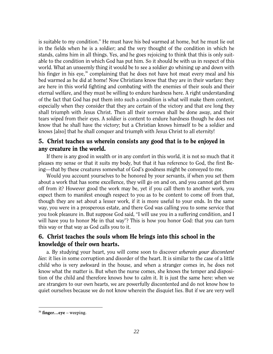is suitable to my condition." He must have his bed warmed at home, but he must lie out in the fields when he is a soldier; and the very thought of the condition in which he stands, calms him in all things. Yes, and he goes rejoicing to think that this is only suitable to the condition in which God has put him. So it should be with us in respect of this world. What an unseemly thing it would be to see a soldier go whining up and down with his finger in his eye, $36$  complaining that he does not have hot meat every meal and his bed warmed as he did at home! Now Christians know that they are in their warfare: they are here in this world fighting and combating with the enemies of their souls and their eternal welfare, and they must be willing to endure hardness here. A right understanding of the fact that God has put them into such a condition is what will make them content, especially when they consider that they are certain of the victory and that ere long they shall triumph with Jesus Christ. Then all their sorrows shall be done away, and their tears wiped from their eyes. A soldier is content to endure hardness though he does not know that he shall have the victory; but a Christian knows himself to be a soldier and knows [also] that he shall conquer and triumph with Jesus Christ to all eternity!

#### 5. Christ teaches us wherein consists any good that is to be enjoyed in any creature in the world.

If there is any good in wealth or in any comfort in this world, it is not so much that it pleases my sense or that it suits my body, but that it has reference to God, the first Being—that by these creatures somewhat of God's goodness might be conveyed to me.

Would you account yourselves to be honored by your servants, if when you set them about a work that has some excellence, they will go on and on, and you cannot get them off from it? However good the work may be, yet if you call them to another work, you expect them to manifest enough respect to you as to be content to come off from that, though they are set about a lesser work, if it is more useful to your ends. In the same way, you were in a prosperous estate, and there God was calling you to some service that you took pleasure in. But suppose God said, "I will use you in a suffering condition, and I will have you to honor Me in that way"? This is how you honor God: that you can turn this way or that way as God calls you to it.

#### 6. Christ teaches the souls whom He brings into this school in the knowledge of their own hearts.

a. By studying your heart, you will come soon to discover *wherein your discontent lies*: it lies in some corruption and disorder of the heart. It is similar to the case of a little child who is very awkward in the house, and when a stranger comes in, he does not know what the matter is. But when the nurse comes, she knows the temper and disposition of the child and therefore knows how to calm it. It is just the same here: when we are strangers to our own hearts, we are powerfully discontented and do not know how to quiet ourselves because we do not know wherein the disquiet lies. But if we are very well

<span id="page-22-0"></span><sup>36</sup> **finger…eye** – weeping.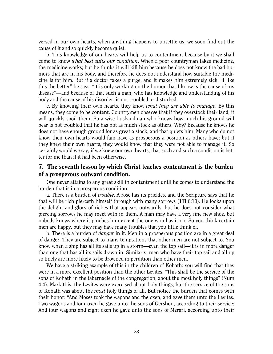versed in our own hearts, when anything happens to unsettle us, we soon find out the cause of it and so quickly become quiet.

b. This knowledge of our hearts will help us to contentment because by it we shall come to know *what best suits our condition*. When a poor countryman takes medicine, the medicine works; but he thinks it will kill him because he does not know the bad humors that are in his body, and therefore he does not understand how suitable the medicine is for him. But if a doctor takes a purge, and it makes him extremely sick, "I like this the better" he says, "it is only working on the humor that I know is the cause of my disease"—and because of that such a man, who has knowledge and understanding of his body and the cause of his disorder, is not troubled or disturbed.

c. By knowing their own hearts, they know *what they are able to manage*. By this means, they come to be content. Countrymen observe that if they overstock their land, it will quickly spoil them. So a wise husbandman who knows how much his ground will bear is not troubled that he has not as much stock as others. Why? Because he knows he does not have enough ground for as great a stock, and that quiets him. Many who do not know their own hearts would fain have as prosperous a position as others have; but if they knew their own hearts, they would know that they were not able to manage it. So certainly would we say, if we knew our own hearts, that such and such a condition is better for me than if it had been otherwise.

#### 7. The seventh lesson by which Christ teaches contentment is the burden of a prosperous outward condition.

One never attains to any great skill in contentment until he comes to understand the burden that is in a prosperous condition.

a. There is a burden of *trouble*. A rose has its prickles, and the Scripture says that he that will be rich pierceth himself through with many sorrows (1Ti 6:10). He looks upon the delight and glory of riches that appears outwardly, but he does not consider what piercing sorrows he may meet with in them. A man may have a very fine new shoe, but nobody knows where it pinches him except the one who has it on. So you think certain men are happy, but they may have many troubles that you little think of.

b. There is a burden of *danger* in it. Men in a prosperous position are in a great deal of danger. They are subject to many temptations that other men are not subject to. You know when a ship has all its sails up in a storm—even the top sail—it is in more danger than one that has all its sails drawn in. Similarly, men who have their top sail and all up so finely are more likely to be drowned in perdition than other men.

We have a striking example of this in the children of Kohath: you will find that they were in a more excellent position than the other Levites. "This shall be the service of the sons of Kohath in the tabernacle of the congregation, about the most holy things" (Num 4:4). Mark this, the Levites were exercised about holy things; but the service of the sons of Kohath was about the *most* holy things of all. But notice the burden that comes with their honor: "And Moses took the wagons and the oxen, and gave them unto the Levites. Two wagons and four oxen he gave unto the sons of Gershon, according to their service: And four wagons and eight oxen he gave unto the sons of Merari, according unto their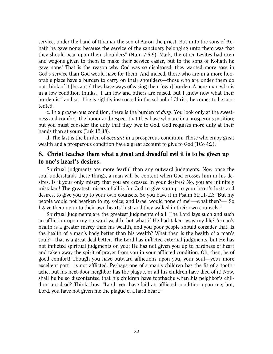service, under the hand of Ithamar the son of Aaron the priest. But unto the sons of Kohath he gave none: because the service of the sanctuary belonging unto them was that they should bear upon their shoulders" (Num 7:6-9). Mark, the other Levites had oxen and wagons given to them to make their service easier, but to the sons of Kohath he gave none! That is the reason why God was so displeased: they wanted more ease in God's service than God would have for them. And indeed, those who are in a more honorable place have a burden to carry on their shoulders—those who are under them do not think of it [because] they have ways of easing their [own] burden. A poor man who is in a low condition thinks, "I am low and others are raised, but I know now what their burden is," and so, if he is rightly instructed in the school of Christ, he comes to be contented.

c. In a prosperous condition, there is the burden of *duty*. You look only at the sweetness and comfort, the honor and respect that they have who are in a prosperous position; but you must consider the duty that they owe to God. God requires more duty at their hands than at yours (Luk 12:48).

d. The last is the burden of *account* in a prosperous condition. Those who enjoy great wealth and a prosperous condition have a great account to give to God (1Co 4:2).

#### 8. Christ teaches them what a great and dreadful evil it is to be given up to one's heart's desires.

Spiritual judgments are more fearful than any outward judgments. Now once the soul understands these things, a man will be content when God crosses him in his desires. Is it your only misery that you are crossed in your desires? No, you are infinitely mistaken! The greatest misery of all is for God to give you up to your heart's lusts and desires, to give you up to your own counsels. So you have it in Psalm 81:11-12: "But my people would not hearken to my voice; and Israel would none of me"—what then?—"So I gave them up unto their own hearts' lust: and they walked in their own counsels."

Spiritual judgments are the greatest judgments of all. The Lord lays such and such an affliction upon my outward wealth, but what if He had taken away my life? A man's health is a greater mercy than his wealth, and you poor people should consider that. Is the health of a man's body better than his wealth? What then is the health of a man's soul?—that is a great deal better. The Lord has inflicted external judgments, but He has not inflicted spiritual judgments on you; He has not given you up to hardness of heart and taken away the spirit of prayer from you in your afflicted condition. Oh, then, be of good comfort! Though you have outward afflictions upon you, your soul—your more excellent part—is not afflicted. Perhaps one of a man's children has the fit of a toothache, but his next-door neighbor has the plague, or all his children have died of it! Now, shall he be so discontented that his children have toothache when his neighbor's children are dead? Think thus: "Lord, you have laid an afflicted condition upon me; but, Lord, you have not given me the plague of a hard heart."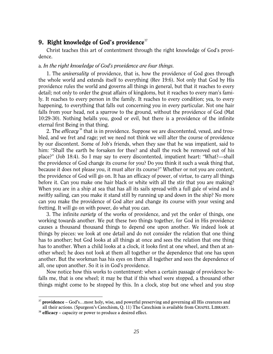#### 9. Right knowledge of God's providence<sup>[37](#page-25-0)</sup>

Christ teaches this art of contentment through the right knowledge of God's providence.

#### a. *In the right knowledge of God's providence are four things.*

1. The *universality* of providence, that is, how the providence of God goes through the whole world and extends itself to everything (Rev 19:6). Not only that God by His providence rules the world and governs all things in general, but that it reaches to every detail; not only to order the great affairs of kingdoms, but it reaches to every man's family. It reaches to every person in the family. It reaches to every condition; yea, to every happening, to everything that falls out concerning you in every particular. Not one hair falls from your head, not a sparrow to the ground, without the providence of God (Mat 10:29-30). Nothing befalls you, good or evil, but there is a providence of the infinite eternal first Being in that thing.

2. The *efficacy*<sup>[38](#page-25-1)</sup> that is in providence. Suppose we are discontented, vexed, and troubled, and we fret and rage; yet we need not think we will alter the course of providence by our discontent. Some of Job's friends, when they saw that he was impatient, said to him: "Shall the earth be forsaken for thee? and shall the rock be removed out of his place?" (Job 18:4). So I may say to every discontented, impatient heart: "What?—shall the providence of God change its course for you? Do you think it such a weak thing that, because it does not please you, it must alter its course?" Whether or not you are content, the providence of God will go on. It has an efficacy of power, of virtue, to carry all things before it. Can you make one hair black or white with all the stir that you are making? When you are in a ship at sea that has all its sails spread with a full gale of wind and is swiftly sailing, can you make it stand still by running up and down in the ship? No more can you make the providence of God alter and change its course with your vexing and fretting. It will go on with power, do what you can.

3. The infinite *variety* of the works of providence, and yet the order of things, one working towards another. We put these two things together, for God in His providence causes a thousand thousand things to depend one upon another. We indeed look at things by pieces: we look at one detail and do not consider the relation that one thing has to another; but God looks at all things at once and sees the relation that one thing has to another. When a child looks at a clock, it looks first at one wheel, and then at another wheel; he does not look at them all together or the dependence that one has upon another. But the workman has his eyes on them all together and sees the dependence of all, one upon another. So it is in God's providence.

Now notice how this works to contentment: when a certain passage of providence befalls me, that is one wheel; it may be that if this wheel were stopped, a thousand other things might come to be stopped by this. In a clock, stop but one wheel and you stop

<span id="page-25-0"></span><sup>37</sup> **providence** – God's…most holy, wise, and powerful preserving and governing all His creatures and all their actions. (Spurgeon's Catechism, Q. 11) The Catechism is available from CHAPEL LIBRARY.

<span id="page-25-1"></span><sup>38</sup> **efficacy** – capacity or power to produce a desired effect.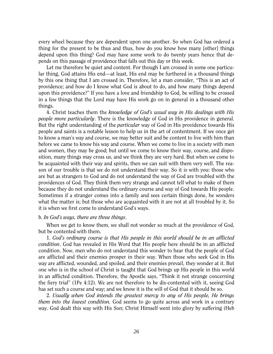every wheel because they are dependent upon one another. So when God has ordered a thing for the present to be thus and thus, how do you know how many [other] things depend upon this thing? God may have some work to do twenty years hence that depends on this passage of providence that falls out this day or this week.

Let me therefore be quiet and content. For though I am crossed in some one particular thing, God attains His end—at least, His end may be furthered in a thousand things by this one thing that I am crossed in. Therefore, let a man consider, "This is an act of providence; and how do I know what God is about to do, and how many things depend upon this providence?" If you have a love and friendship to God, be willing to be crossed in a few things that the Lord may have His work go on in general in a thousand other things.

4. Christ teaches them the *knowledge of God's usual way in His dealings with His people more particularly*. There is the knowledge of God in His providence in general. But the right understanding of the *particular* way of God in His providence towards His people and saints is a notable lesson to help us in the art of contentment. If we once get to know a man's way and course, we may better suit and be content to live with him than before we came to know his way and course. When we come to live in a society with men and women, they may be good; but until we come to know their way, course, and disposition, many things may cross us, and we think they are very hard. But when we come to be acquainted with their way and spirits, then we can suit with them very well. The reason of our trouble is that we do not understand their way. So it is with you: those who are but as strangers to God and do not understand the way of God are troubled with the providences of God. They think them very strange and cannot tell what to make of them because they do not understand the ordinary course and way of God towards His people. Sometimes if a stranger comes into a family and sees certain things done, he wonders what the matter is; but those who are acquainted with it are not at all troubled by it. So it is when we first come to understand God's ways.

#### b*. In God's ways, there are three things*.

When we get to know them, we shall not wonder so much at the providence of God, but be contented with them.

1. *God's ordinary course is that His people in this world should be in an afflicted condition*. God has revealed in His Word that His people here should be in an afflicted condition. Now, men who do not understand this wonder to hear that the people of God are afflicted and their enemies prosper in their way. When those who seek God in His way are afflicted, wounded, and spoiled, and their enemies prevail, they wonder at it. But one who is in the school of Christ is taught that God brings up His people in this world in an afflicted condition. Therefore, the Apostle says, "Think it not strange concerning the fiery trial" (1Pe 4:12). We are not therefore to be dis-contented with it, seeing God has set such a course and way; and we know it is the will of God that it should be so.

2. *Usually when God intends the greatest mercy to any of His people, He brings them into the lowest condition.* God seems to go quite across and work in a contrary way. God dealt this way with His Son; Christ Himself went into glory by suffering (Heb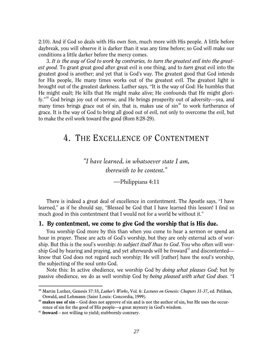2:10). And if God so deals with His own Son, much more with His people. A little before daybreak, you will observe it is darker than it was any time before; so God will make our conditions a little darker before the mercy comes.

3. *It is the way of God to work by contraries, to turn the greatest evil into the greatest good.* To grant great good after great evil is one thing, and to *turn* great evil into the greatest good is another; and yet that is God's way. The greatest good that God intends for His people, He many times works out of the greatest evil. The greatest light is brought out of the greatest darkness. Luther says, "It is the way of God: He humbles that He might exalt; He kills that He might make alive; He confounds that He might glorify." [39](#page-27-1) God brings joy out of sorrow, and He brings prosperity out of adversity—yea, and many times brings grace out of sin, that is, makes use of  $\sin^{40}$  $\sin^{40}$  $\sin^{40}$  to work furtherance of grace. It is the way of God to bring all good out of evil, not only to overcome the evil, but to make the evil work toward the good (Rom 8:28-29).

## <span id="page-27-0"></span>4. THE EXCELLENCE OF CONTENTMENT

*"I have learned, in whatsoever state I am, therewith to be content."*

*—*Philippians 4:11

There is indeed a great deal of excellence in contentment. The Apostle says, "I have learned," as if he should say, "Blessed be God that I have learned this lesson! I find so much good in this contentment that I would not for a world be without it."

#### 1. By contentment, we come to give God the worship that is His due.

You worship God more by this than when you come to hear a sermon or spend an hour in prayer. These are acts of God's worship, but they are only external acts of worship. But this is the soul's worship: *to subject itself thus to God*. You who often will wor-ship God by hearing and praying, and yet afterwards will be froward<sup>[41](#page-27-3)</sup> and discontented know that God does not regard such worship; He will [rather] have the soul's worship, the subjecting of the soul unto God.

Note this: In active obedience, we worship God by *doing what pleases God*; but by passive obedience, we do as well worship God by *being pleased with what God does.* "I

<span id="page-27-1"></span><sup>39</sup> Martin Luther, Genesis 37:33, *Luther's Works*, Vol. 6: *Lectures on Genesis: Chapters 31-37*, ed. Pelikan, Oswald, and Lehmann (Saint Louis: Concordia, 1999).

<span id="page-27-2"></span><sup>40</sup> **makes use of sin** – God does not approve of sin and is not the author of sin, but He uses the occurrence of sin for the good of His people—a great mystery in God's wisdom.

<span id="page-27-3"></span><sup>&</sup>lt;sup>41</sup> **froward** – not willing to yield; stubbornly contrary.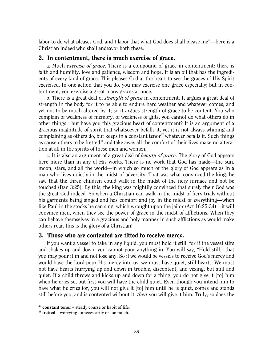labor to do what pleases God, and I labor that what God does shall please me"—here is a Christian indeed who shall endeavor both these.

#### 2. In contentment, there is much exercise of grace.

a. Much *exercise of grace*. There is a compound of grace in contentment: there is faith and humility, love and patience, wisdom and hope. It is an oil that has the ingredients of every kind of grace. This pleases God at the heart to see the graces of His Spirit exercised. In one action that you do, you may exercise one grace especially; but in contentment, you exercise a great many graces at once.

b. There is a great deal of *strength of grace* in contentment. It argues a great deal of strength in the body for it to be able to endure hard weather and whatever comes, and yet not to be much altered by it; so it argues strength of grace to be content. You who complain of weakness of memory, of weakness of gifts, you cannot do what others do in other things—but have you this gracious heart of contentment? It is an argument of a gracious magnitude of spirit that whatsoever befalls it, yet it is not always whining and complaining as others do, but keeps in a constant tenor<sup>[42](#page-28-0)</sup> whatever befalls it. Such things as cause others to be fretted<sup>[43](#page-28-1)</sup> and take away all the comfort of their lives make no alteration at all in the spirits of these men and women.

c. It is also an argument of a great deal of *beauty of grace*. The glory of God appears here more than in any of His works. There is no work that God has made—the sun, moon, stars, and all the world—in which so much of the glory of God appears as in a man who lives quietly in the midst of adversity. That was what convinced the king: he saw that the three children could walk in the midst of the fiery furnace and not be touched (Dan 3:25). By this, the king was mightily convinced that surely their God was the great God indeed. So when a Christian can walk in the midst of fiery trials without his garments being singed and has comfort and joy in the midst of everything—when like Paul in the stocks he can sing, which wrought upon the jailor (Act 16:25-34)—it will convince men, when they see the power of grace in the midst of afflictions. When they can behave themselves in a gracious and holy manner in such afflictions as would make others roar, this is the glory of a Christian!

#### 3. Those who are contented are fitted to receive mercy.

If you want a vessel to take in any liquid, you must hold it still; for if the vessel stirs and shakes up and down, you cannot pour anything in. You will say, "Hold still," that you may pour it in and not lose any. So if we would be vessels to receive God's mercy and would have the Lord pour His mercy into us, we must have quiet, still hearts. We must not have hearts hurrying up and down in trouble, discontent, and vexing, but still and quiet. If a child throws and kicks up and down for a thing, you do not give it [to] him when he cries so, but first you will have the child quiet. Even though you intend him to have what he cries for, you will not give it [to] him until he is quiet, comes and stands still before you, and is contented without it; *then* you will give it him. Truly, so does the

<span id="page-28-0"></span><sup>42</sup> **constant tenor** – steady course or habit of life.

<span id="page-28-1"></span><sup>43</sup> **fretted** – worrying unnecessarily or too much.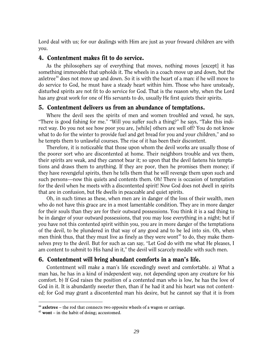Lord deal with us; for our dealings with Him are just as your froward children are with you.

#### 4. Contentment makes fit to do service.

As the philosophers say of everything that moves, nothing moves [except] it has something immovable that upholds it. The wheels in a coach move up and down, but the axletree $^{44}$  $^{44}$  $^{44}$  does not move up and down. So it is with the heart of a man: if he will move to do service to God, he must have a steady heart within him. Those who have unsteady, disturbed spirits are not fit to do service for God. That is the reason why, when the Lord has any great work for one of His servants to do, usually He first quiets their spirits.

#### 5. Contentment delivers us from an abundance of temptations.

Where the devil sees the spirits of men and women troubled and vexed, he says, "There is good fishing for me." "Will you suffer such a thing?" he says, "Take this indirect way. Do you not see how poor you are, [while] others are well off? You do not know what to do for the winter to provide fuel and get bread for you and your children," and so he tempts them to unlawful courses. The rise of it has been their discontent.

Therefore, it is noticeable that those upon whom the devil works are usually those of the poorer sort who are discontented at home. Their neighbors trouble and vex them, their spirits are weak, and they cannot bear it; so upon that the devil fastens his temptations and draws them to anything. If they are poor, then he promises them money; if they have revengeful spirits, then he tells them that he will revenge them upon such and such persons—now this quiets and contents them. Oh! There is occasion of temptation for the devil when he meets with a discontented spirit! Now God does not dwell in spirits that are in confusion, but He dwells in peaceable and quiet spirits.

Oh, in such times as these, when men are in danger of the loss of their wealth, men who do not have this grace are in a most lamentable condition. They are in more danger for their souls than they are for their outward possessions. You think it is a sad thing to be in danger of your outward possessions, that you may lose everything in a night; but if you have not this contented spirit within you, you are in more danger of the temptations of the devil, to be plundered in that way of any good and to be led into sin. Oh, when men think thus, that they must live as finely as they were wont<sup> $45$ </sup> to do, they make themselves prey to the devil. But for such as can say, "Let God do with me what He pleases, I am content to submit to His hand in it," the devil will scarcely meddle with such men.

#### 6. Contentment will bring abundant comforts in a man's life.

Contentment will make a man's life exceedingly sweet and comfortable. a) What a man has, he has in a kind of independent way, not depending upon any creature for his comfort. b) If God raises the position of a contented man who is low, he has the love of God in it. It is abundantly sweeter then, than if he had it and his heart was not contented; for God may grant a discontented man his desire, but he cannot say that it is from

<span id="page-29-0"></span> $\overline{a}$ <sup>44</sup> **axletree** – the rod that connects two opposite wheels of a wagon or carriage.

<span id="page-29-1"></span><sup>45</sup> **wont** – in the habit of doing; accustomed.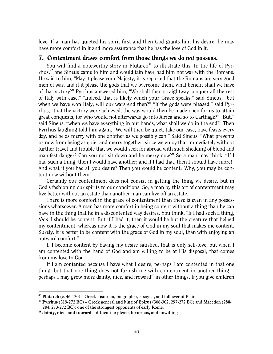love. If a man has quieted his spirit first and then God grants him his desire, he may have more comfort in it and more assurance that he has the love of God in it.

#### 7. Contentment draws comfort from those things we do *not* possess.

You will find a noteworthy story in Plutarch<sup>[46](#page-30-0)</sup> to illustrate this. In the life of Pyrrhus,[47](#page-30-1) one Sineus came to him and would fain have had him not war with the Romans. He said to him, "May it please your Majesty, it is reported that the Romans are very good men of war, and if it please the gods that we overcome them, what benefit shall we have of that victory?" Pyrrhus answered him, "We shall then straightway conquer all the rest of Italy with ease." "Indeed, that is likely which your Grace speaks," said Sineus, "but when we have won Italy, will our wars end then?" "If the gods were pleased," said Pyrrhus, "that the victory were achieved, the way would then be made open for us to attain great conquests, for who would not afterwards go into Africa and so to Carthage?" "But," said Sineus, "when we have everything in our hands, what shall we do in the end?" Then Pyrrhus laughing told him again, "We will then be quiet, take our ease, have feasts every day, and be as merry with one another as we possibly can." Said Sineus, "What prevents us now from being as quiet and merry together, since we enjoy that immediately without further travel and trouble that we would seek for abroad with such shedding of blood and manifest danger? Can you not sit down and be merry now?" So a man may think, "If I had such a thing, then I would have another; and if I had that, then I should have more!" And what if you had all you desire? Then you would be content? Why, you may be content now without them!

Certainly our contentment does not consist in getting the thing we desire, but in God's fashioning our spirits to our conditions. So, a man by this art of contentment may live better without an estate than another man can live off an estate.

There is more comfort in the grace of contentment than there is even in any possessions whatsoever. A man has more comfort in being content without a thing than he can have in the thing that he in a discontented way desires. You think, "If I had such a thing, *then* I should be content. But if I had it, then it would be but the creature that helped my contentment, whereas now it is the grace of God in my soul that makes me content. Surely, it is better to be content with the grace of God in my soul, than with enjoying an outward comfort."

If I become content by having my desire satisfied, that is only self-love; but when I am contented with the hand of God and am willing to be at His disposal, that comes from my love to God.

If I am contented because I have what I desire, perhaps I am contented in that one thing; but that one thing does not furnish me with contentment in another thing— perhaps I may grow more dainty, nice, and froward<sup>[48](#page-30-2)</sup> in other things. If you give children

<span id="page-30-0"></span><sup>46</sup> **Plutarch** (c. 46-120) – Greek [historian,](http://en.wikipedia.org/wiki/Historian) [biographer,](http://en.wikipedia.org/wiki/Biographer) [essayist,](http://en.wikipedia.org/wiki/Essayist) and follower of Plato.

<span id="page-30-1"></span><sup>47</sup> **Pyrrhus** (319-272 BC) – Greek general and king of Epirus (306-302, 297-272 BC) and Macedon (288- 284, 273-272 BC); one of the strongest opponents of early Rome.

<span id="page-30-2"></span><sup>48</sup> **dainty, nice, and froward** – difficult to please, luxurious, and unwilling.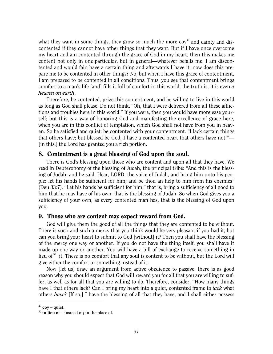what they want in some things, they grow so much the more  $\text{cov}^{49}$  $\text{cov}^{49}$  $\text{cov}^{49}$  and dainty and discontented if they cannot have other things that they want. But if I have once overcome my heart and am contented through the grace of God in my heart, then this makes me content not only in one particular, but in general—whatever befalls me. I am discontented and would fain have a certain thing and afterwards I have it: now does this prepare me to be contented in other things? No, but when I have this grace of contentment, I am prepared to be contented in all conditions. Thus, you see that contentment brings comfort to a man's life [and] fills it full of comfort in this world; the truth is, it is even *a heaven on earth*.

Therefore, be contented, prize this contentment, and be willing to live in this world as long as God shall please. Do not think, "Oh, that I were delivered from all these afflictions and troubles here in this world!" If you were, then you would have more ease yourself; but this is a way of honoring God and manifesting the excellence of grace here, when you are in this conflict of temptation, which God shall not have from you in heaven. So be satisfied and quiet: be contented with your contentment. "I lack certain things that others have; but blessed be God, I have a contented heart that others have not!"— [in this,] the Lord has granted you a rich portion.

#### 8. Contentment is a great blessing of God upon the soul.

There is God's blessing upon those who are content and upon all that they have. We read in Deuteronomy of the blessing of Judah, the principal tribe: "And this is the blessing of Judah: and he said, Hear, LORD, the voice of Judah, and bring him unto his people: let his hands be sufficient for him; and be thou an help to him from his enemies" (Deu 33:7). "Let his hands be sufficient for him," that is, bring a sufficiency of all good to him that he may have of his own: that is the blessing of Judah. So when God gives you a sufficiency of your own, as every contented man has, that is the blessing of God upon you.

#### 9. Those who are content may expect reward from God.

God will give them the good of all the things that they are contented to be without. There is such and such a mercy that you think would be very pleasant if you had it; but can you bring your heart to submit to God [without] it? Then you shall have the blessing of the mercy one way or another. If you do not have the thing itself, you shall have it made up one way or another. You will have a bill of exchange to receive something in lieu of  $50$  it. There is no comfort that any soul is content to be without, but the Lord will give either the comfort or something instead of it.

Now [let us] draw an argument from active obedience to passive: there is as good reason why you should expect that God will reward you for all that you are willing to suffer, as well as for all that you are willing to do. Therefore, consider, "How many things have I that others lack? Can I bring my heart into a quiet, contented frame to *lack* what others *have*? [If so,] I have the blessing of all that they have, and I shall either possess

<span id="page-31-1"></span><span id="page-31-0"></span><sup>&</sup>lt;sup>49</sup> **coy** – quiet.<br><sup>50</sup> **in lieu of** – instead of; in the place of.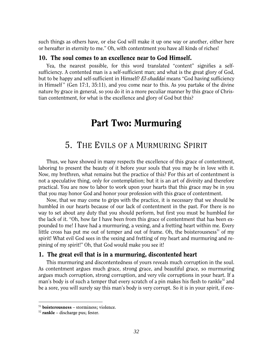such things as others have, or else God will make it up one way or another, either here or hereafter in eternity to me." Oh, with contentment you have all kinds of riches!

#### 10. The soul comes to an excellence near to God Himself.

Yea, the nearest possible, for this word translated "content" signifies a selfsufficiency. A contented man is a self-sufficient man; and what is the great glory of God, but to be happy and self-sufficient in Himself? *El-shaddai* means "God having sufficiency in Himself" (Gen 17:1, 35:11), and you come near to this. As you partake of the divine nature by grace in general, so you do it in a more peculiar manner by this grace of Christian contentment, for what is the excellence and glory of God but this?

## Part Two: Murmuring

## 5. THE EVILS OF A MURMURING SPIRIT

<span id="page-32-0"></span>Thus, we have showed in many respects the excellence of this grace of contentment, laboring to present the beauty of it before your souls that you may be in love with it. Now, my brethren, what remains but the practice of this? For this art of contentment is not a speculative thing, only for contemplation; but it is an art of divinity and therefore practical. You are now to labor to work upon your hearts that this grace may be in you that you may honor God and honor your profession with this grace of contentment.

Now, that we may come to grips with the practice, it is necessary that we should be humbled in our hearts because of our lack of contentment in the past. For there is no way to set about any duty that you should perform, but first you must be humbled for the lack of it. "Oh, how far I have been from this grace of contentment that has been expounded to me! I have had a murmuring, a vexing, and a fretting heart within me. Every little cross has put me out of temper and out of frame. Oh, the boisterousness<sup>[51](#page-32-1)</sup> of my spirit! What evil God sees in the vexing and fretting of my heart and murmuring and repining of my spirit!" Oh, that God would make you see it!

#### 1. The great evil that is in a murmuring, discontented heart

This murmuring and discontentedness of yours reveals much corruption in the soul. As contentment argues much grace, strong grace, and beautiful grace, so murmuring argues much corruption, strong corruption, and very vile corruptions in your heart. If a man's body is of such a temper that every scratch of a pin makes his flesh to rankle<sup>[52](#page-32-2)</sup> and be a sore, you will surely say this man's body is very corrupt. So it is in your spirit, if eve-

<span id="page-32-1"></span><sup>51</sup> **boisterousness** – storminess; violence.

<span id="page-32-2"></span><sup>52</sup> **rankle** – discharge pus; fester.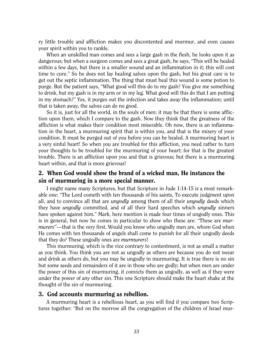ry little trouble and affliction makes you discontented and murmur, and even causes your spirit within you to rankle.

When an unskilled man comes and sees a large gash in the flesh, he looks upon it as dangerous; but when a surgeon comes and sees a great gash, he says, "This will be healed within a few days, but there is a smaller wound and an inflammation in it; this will cost time to cure." So he does not lay healing salves upon the gash, but his great care is to get out the septic inflammation. The thing that must heal this wound is some potion to purge. But the patient says, "What good will this do to my gash? You give me something to drink, but my gash is in my arm or in my leg. What good will this do that I am putting in my stomach?" Yes, it purges out the infection and takes away the inflammation; until that is taken away, the salves can do no good.

So it is, just for all the world, in the souls of men: it may be that there is some affliction upon them, which I compare to the gash. Now they think that the greatness of the affliction is what makes their condition most miserable. Oh now, there is an inflammation in the heart, a murmuring spirit that is within you, and that is the misery of your condition. It must be purged out of you before you can be healed. A murmuring heart is a very sinful heart! So when you are troubled for this affliction, you need rather to turn your thoughts to be troubled for the murmuring of your heart; for that is the greatest trouble. There is an affliction upon you and that is grievous; but there is a murmuring heart within, and that is more grievous!

#### 2. When God would show the brand of a wicked man, He instances the sin of murmuring in a more special manner.

I might name many Scriptures, but that Scripture in Jude 1:14-15 is a most remarkable one: "The Lord cometh with ten thousands of his saints, To execute judgment upon all, and to convince all that are *ungodly* among them of all their *ungodly* deeds which they have *ungodly* committed, and of all their hard speeches which *ungodly* sinners have spoken against him." Mark, here mention is made four times of ungodly ones. This is in general, but now he comes in particular to show who these are: "These are *murmurers*"—that is the very first. Would you know who ungodly men are, whom God when He comes with ten thousands of angels shall come to punish for all their ungodly deeds that they do? These ungodly ones are *murmurers*!

This murmuring, which is the vice contrary to contentment, is not as small a matter as you think. You think you are not as ungodly as others are because you do not swear and drink as others do, but you may be ungodly in murmuring. It is true there is no sin but some seeds and remainders of it are in those who are godly; but when men are under the power of this sin of murmuring, it convicts them as ungodly, as well as if they were under the power of any other sin. This one Scripture should make the heart shake at the thought of the sin of murmuring.

#### 3. God accounts murmuring as rebellion.

A murmuring heart is a rebellious heart, as you will find if you compare two Scriptures together: "But on the morrow all the congregation of the children of Israel mur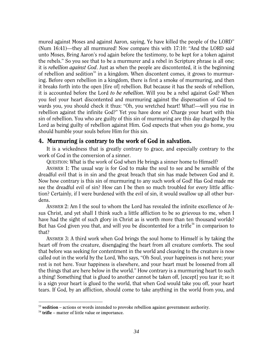mured against Moses and against Aaron, saying, Ye have killed the people of the LORD" (Num 16:41)—they all murmured! Now compare this with 17:10: "And the LORD said unto Moses, Bring Aaron's rod again before the testimony, to be kept for a token against the rebels." So you see that to be a murmurer and a rebel in Scripture phrase is all one; it is *rebellion against God*. Just as when the people are discontented, it is the beginning of rebellion and sedition<sup>[53](#page-34-0)</sup> in a kingdom. When discontent comes, it grows to murmuring. Before open rebellion in a kingdom, there is first a smoke of murmuring, and then it breaks forth into the open [fire of] rebellion. But because it has the seeds of rebellion, it is accounted before the Lord *to be rebellion*. Will you be a rebel against God? When you feel your heart discontented and murmuring against the dispensation of God towards you, you should check it thus: "Oh, you wretched heart! What!—will you rise in rebellion against the infinite God?" Yet you have done so! Charge your heart with this sin of rebellion. You who are guilty of this sin of murmuring are this day charged by the Lord as being guilty of rebellion against Him. God expects that when you go home, you should humble your souls before Him for this sin.

#### 4. Murmuring is contrary to the work of God in salvation.

It is a wickedness that is greatly contrary to grace, and especially contrary to the work of God in the conversion of a sinner.

QUESTION: What is the work of God when He brings a sinner home to Himself?

ANSWER 1: The usual way is for God to make the soul to see and be sensible of the dreadful evil that is in sin and the great breach that sin has made between God and it. Now how contrary is this sin of murmuring to any such work of God! Has God made me see the dreadful evil of sin? How can I be then so much troubled for every little affliction? Certainly, if I were burdened with the evil of sin, it would swallow up all other burdens.

ANSWER 2: Am I the soul to whom the Lord has revealed the infinite excellence of Jesus Christ, and yet shall I think such a little affliction to be so grievous to me, when I have had the sight of such glory in Christ as is worth more than ten thousand worlds? But has God given you that, and will you be discontented for a trifle<sup>[54](#page-34-1)</sup> in comparison to that?

ANSWER 3: A third work when God brings the soul home to Himself is by taking the heart off from the creature, disengaging the heart from all creature comforts. The soul that before was seeking for contentment in the world and cleaving to the creature is now called out in the world by the Lord, Who says, "Oh Soul, your happiness is not here; your rest is not here. Your happiness is elsewhere, and your heart must be loosened from all the things that are here below in the world." How contrary is a murmuring heart to such a thing! Something that is glued to another cannot be taken off, [except] you tear it; so it is a sign your heart is glued to the world, that when God would take you off, your heart tears. If God, by an affliction, should come to take anything in the world from you, and

<span id="page-34-0"></span> $\overline{a}$ <sup>53</sup> sedition – actions or words intended to provoke rebellion against government authority.

<span id="page-34-1"></span><sup>54</sup> **trifle** – matter of little value or importance.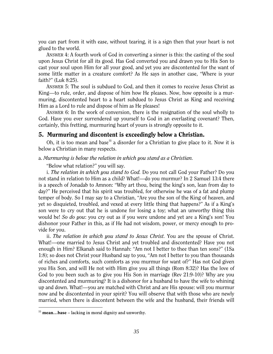you can part from it with ease, without tearing, it is a sign then that your heart is not glued to the world.

ANSWER 4: A fourth work of God in converting a sinner is this: the casting of the soul upon Jesus Christ for all its good. Has God converted you and drawn you to His Son to cast your soul upon Him for all your good, and yet you are discontented for the want of some little matter in a creature comfort? As He says in another case, "Where is your faith?" (Luk 8:25).

ANSWER 5: The soul is subdued to God, and then it comes to receive Jesus Christ as King—to rule, order, and dispose of him how He pleases. Now, how opposite is a murmuring, discontented heart to a heart subdued to Jesus Christ as King and receiving Him as a Lord to rule and dispose of him as He pleases!

ANSWER 6: In the work of conversion, there is the resignation of the soul wholly to God. Have you ever surrendered up yourself to God in an everlasting covenant? Then, certainly, this fretting, murmuring heart of yours is strongly opposite to it.

#### 5. Murmuring and discontent is exceedingly below a Christian.

Oh, it is too mean and base<sup>[55](#page-35-0)</sup> a disorder for a Christian to give place to it. Now it is below a Christian in many respects.

#### a. *Murmuring is below the relation in which you stand as a Christian.*

"Below what relation?" you will say.

i. *The relation in which you stand to God.* Do you not call God your Father? Do you not stand in relation to Him as a child? What!—do you murmur? In 2 Samuel 13:4 there is a speech of Jonadab to Amnon: "Why art thou, being the king's son, lean from day to day?" He perceived that his spirit was troubled, for otherwise he was of a fat and plump temper of body. So I may say to a Christian, "Are you the son of the King of heaven, and yet so disquieted, troubled, and vexed at every little thing that happens?" As if a King's son were to cry out that he is undone for losing a toy; what an unworthy thing this would be! *So do you*: you cry out as if you were undone and yet are a King's son! You dishonor your Father in this, as if He had not wisdom, power, or mercy enough to provide for you.

ii. *The relation in which you stand to Jesus Christ.* You are the spouse of Christ. What!—one married to Jesus Christ and yet troubled and discontented? Have you not enough in Him? Elkanah said to Hannah: "Am not I better to thee than ten sons?" (1Sa 1:8); so does not Christ your Husband say to you, "Am not I better to you than thousands of riches and comforts, such comforts as you murmur for want of?" Has not God given you His Son, and will He not with Him give you all things (Rom 8:32)? Has the love of God to you been such as to give you His Son in marriage (Rev 21:9-10)? Why are you discontented and murmuring? It is a dishonor for a husband to have the wife to whining up and down. What!—you are matched with Christ and are His spouse: will you murmur now and be discontented in your spirit? You will observe that with those who are newly married, when there is discontent between the wife and the husband, their friends will

<span id="page-35-0"></span> $\overline{a}$ <sup>55</sup> **mean…base** – lacking in moral dignity and unworthy.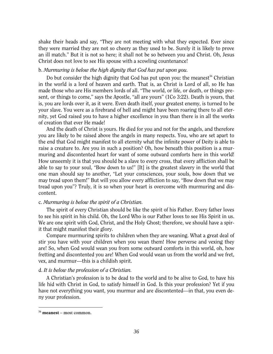shake their heads and say, "They are not meeting with what they expected. Ever since they were married they are not so cheery as they used to be. Surely it is likely to prove an ill match." But it is not so here; it shall not be so between you and Christ. Oh, Jesus Christ does not love to see His spouse with a scowling countenance!

#### b. *Murmuring is below the high dignity that God has put upon you.*

Do but consider the high dignity that God has put upon you: the meanest<sup>[56](#page-36-0)</sup> Christian in the world is a lord of heaven and earth. That is, as Christ is Lord of all, so He has made those who are His members lords of all. "The world, or life, or death, or things present, or things to come," says the Apostle, "all are yours" (1Co 3:22). Death is yours, that is, you are lords over it, as it were. Even death itself, your greatest enemy, is turned to be your slave. You were as a firebrand of hell and might have been roaring there to all eternity, yet God raised you to have a higher excellence in you than there is in all the works of creation that ever He made!

And the death of Christ is yours. He died for you and not for the angels, and therefore you are likely to be raised above the angels in many respects. You, who are set apart to the end that God might manifest to all eternity what the infinite power of Deity is able to raise a creature to. Are you in such a position? Oh, how beneath this position is a murmuring and discontented heart for want of some outward comforts here in this world! How unseemly it is that you should be a slave to every cross, that every affliction shall be able to say to your soul, "Bow down to us!" [It] is the greatest slavery in the world that one man should say to another, "Let your consciences, your souls, bow down that we may tread upon them!" But will you allow every affliction to say, "Bow down that we may tread upon you"? Truly, it is so when your heart is overcome with murmuring and discontent.

#### c. *Murmuring is below the spirit of a Christian.*

The spirit of every Christian should be like the spirit of his Father. Every father loves to see his spirit in his child. Oh, the Lord Who is our Father loves to see His Spirit in us. We are one spirit with God, Christ, and the Holy Ghost; therefore, we should have a spirit that might manifest their glory.

Compare murmuring spirits to children when they are weaning. What a great deal of stir you have with your children when you wean them! How perverse and vexing they are! So, when God would wean you from some outward comforts in this world, oh, how fretting and discontented you are! When God would wean us from the world and we fret, vex, and murmur—this is a childish spirit.

#### d. *It is below the profession of a Christian.*

A Christian's profession is to be dead to the world and to be alive to God, to have his life hid with Christ in God, to satisfy himself in God. Is this your profession? Yet if you have not everything you want, you murmur and are discontented—in that, you even deny your profession.

<span id="page-36-0"></span><sup>56</sup> **meanest** – most common.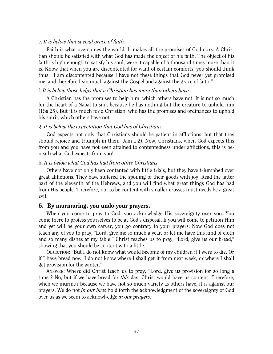#### e. *It is below that special grace of faith.*

Faith is what overcomes the world. It makes all the promises of God ours. A Christian should be satisfied with what God has made the object of his faith. The object of his faith is high enough to satisfy his soul, were it capable of a thousand times more than it is. Know that when you are discontented for want of certain comforts, you should think thus: "I am discontented because I have not these things that God never yet promised me, and therefore I sin much against the Gospel and against the grace of faith."

#### f. *It is below those helps that a Christian has more than others have.*

A Christian has the promises to help him, which others have not. It is not so much for the heart of a Nabal to sink because he has nothing but the creature to uphold him (1Sa 25). But it is much for a Christian, who has the promises and ordinances to uphold his spirit, which others have not.

#### g. *It is below the expectation that God has of Christians.*

God expects not only that Christians should be patient in afflictions, but that they should rejoice and triumph in them (Jam 1:2). Now, Christians, when God expects this from you and you have not even attained to contentedness under afflictions, this is beneath what God expects from you!

#### h. *It is below what God has had from other Christians.*

Others have not only been contented with little trials, but they have triumphed over great afflictions. They have suffered the spoiling of their goods with joy! Read the latter part of the eleventh of the Hebrews, and you will find what great things God has had from His people. Therefore, not to be content with smaller crosses must needs be a great evil.

#### 6. By murmuring, you undo your prayers.

When you come to pray to God, you acknowledge His sovereignty over you. You come there to profess yourselves to be at God's disposal. If you will come to petition Him and yet will be your own carver, you go contrary to your prayers. Now God does not teach any of you to pray, "Lord, give me so much a year, or let me have this kind of cloth and so many dishes at my table." Christ teaches us to pray, "Lord, give us our bread," showing that you should be content with a little.

OBJECTION: "But I do not know what would become of my children if I were to die. Or if I have bread now, I do not know where I shall get it from next week, or where I shall get provision for the winter."

ANSWER: Where did Christ teach us to pray, "Lord, give us provision for so long a time"? No, but if we have bread for *this* day, Christ would have us content. Therefore, when we murmur because we have not so much variety as others have, it is against our prayers. We do not *in our lives* hold forth the acknowledgment of the sovereignty of God over us as we seem to acknowl-edge *in our prayers*.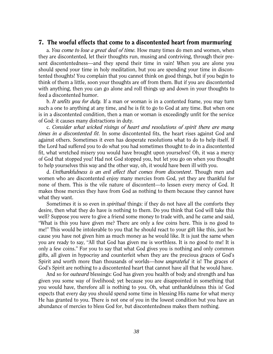#### 7. The woeful effects that come to a discontented heart from murmuring

a. *You come to lose a great deal of time.* How many times do men and women, when they are discontented, let their thoughts run, musing and contriving, through their present discontentedness—and they spend their time in vain! When you are alone you should spend your time in holy meditation, but you are spending your time in discontented thoughts! You complain that you cannot think on good things, but if you begin to think of them a little, soon your thoughts are off from them. But if you are discontented with anything, then you can go alone and roll things up and down in your thoughts to feed a discontented humor.

b. *It unfits you for duty.* If a man or woman is in a contented frame, you may turn such a one to anything at any time, and he is fit to go to God at any time. But when one is in a discontented condition, then a man or woman is exceedingly unfit for the service of God: it causes many distractions in duty.

c. *Consider what wicked risings of heart and resolutions of spirit there are many times in a discontented fit.* In some discontented fits, the heart rises against God and against others. Sometimes it even has desperate resolutions what to do to help itself. If the Lord had suffered you to do what you had sometimes thought to do in a discontented fit, what wretched misery you would have brought upon yourselves! Oh, it was a mercy of God that stopped you! Had not God stopped you, but let you go on when you thought to help yourselves this way and the other way, oh, it would have been ill with you.

d. *Unthankfulness is an evil effect that comes from discontent*. Though men and women who are discontented enjoy many mercies from God, yet they are thankful for none of them. This is the vile nature of discontent—to lessen every mercy of God. It makes those mercies they have from God as nothing to them because they cannot have what they want.

Sometimes it is so even in *spiritual* things: if they do not have all the comforts they desire, then what they do have is nothing to them. Do you think that God will take this well? Suppose you were to give a friend some money to trade with, and he came and said, "What is this you have given me? There are only a few coins here. This is no good to me!" This would be intolerable to you that he should react to your gift like this, just because you have not given him as much money as he would like. It is just the same when you are ready to say, "All that God has given me is worthless. It is no good to me! It is only a few coins." For you to say that what God gives you is nothing and only common gifts, all given in hypocrisy and counterfeit when they are the precious graces of God's Spirit and worth more than thousands of worlds—how *ungrateful* it is! The graces of God's Spirit are nothing to a discontented heart that cannot have all that he would have.

And so for *outward* blessings: God has given you health of body and strength and has given you some way of livelihood; yet because you are disappointed in something that you would have, therefore all is nothing to you. Oh, what unthankfulness this is! God expects that every day you should spend some time in blessing His name for what mercy He has granted to you. There is not one of you in the lowest condition but you have an abundance of mercies to bless God for, but discontentedness makes them nothing.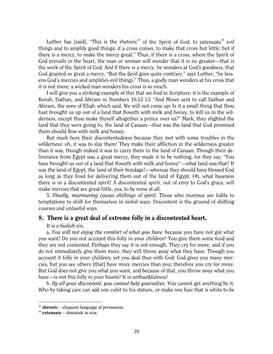Luther has [said], "This is the rhetoric $57$  of the Spirit of God: to extenuate<sup>[58](#page-39-1)</sup> evil things and to amplify good things; if a cross comes, to make that cross but little; but if there is a mercy, to make the mercy great." Thus, if there is a cross, where the Spirit of God prevails in the heart, the man or woman will wonder that it is no greater—that is the work of the Spirit of God. And if there is a mercy, he wonders at God's goodness, that God granted so great a mercy. "But the devil goes quite contrary," says Luther, "he lessens God's mercies and amplifies evil things." Thus, a godly man wonders at his cross that it is not more; a wicked man wonders his cross is so much.

I will give you a striking example of this that we find in Scripture: it is the example of Korah, Dathan, and Abiram in Numbers 16:12-13: "And Moses sent to call Dathan and Abiram, the sons of Eliab: which said, We will not come up: Is it a small thing that thou hast brought us up out of a land that floweth with milk and honey, to kill us in the wilderness, except thou make thyself altogether a prince over us?" Mark, they slighted the land that they were going to, the land of Canaan—that was the land that God promised them should flow with milk and honey.

But mark here their discontentedness because they met with some troubles in the wilderness: oh, it was to slay them! They make their affliction in the wilderness greater than it was, though indeed it was to carry them to the land of Canaan. Though their deliverance from Egypt was a great mercy, they made it to be nothing, for they say, "You have brought us out of a land that floweth with milk and honey"—what land was that? It was the land of Egypt, the land of their bondage!—whereas they should have blessed God as long as they lived for delivering them out of the land of Egypt. Oh, what baseness there is in a discontented spirit! A discontented spirit, out of envy to God's grace, will make mercies that are great little, yea, to be none at all.

5. *Finally, murmuring causes shiftings of spirit.* Those who murmur are liable to temptations to shift for themselves in sinful ways. Discontent is the ground of shifting courses and unlawful ways.

#### 8. There is a great deal of extreme folly in a discontented heart.

#### It is a *foolish* sin.

a. *You will not enjoy the comfort of what you have* because you have not got what you want! Do you not account this folly in your children? You give them some food and they are not contented. Perhaps they say it is not enough. They cry for more, and if you do not immediately give them more, they will throw away what they have. Though you account it folly in your children, yet you deal thus with God: God gives you many mercies, but you see others [that] have more mercies than you; therefore you cry for more. But God does not give you what you want, and because of that, you throw away what you have—is not this folly in your hearts? It is unthankfulness!

b. *By all your discontent, you cannot help yourselves*. You cannot get anything by it. Who by taking care can add one cubit to his stature, or make one hair that is white to be

<span id="page-39-0"></span><sup>57</sup> **rhetoric** – eloquent language of persuasion.

<span id="page-39-1"></span><sup>58</sup> **extenuate** – diminish in size.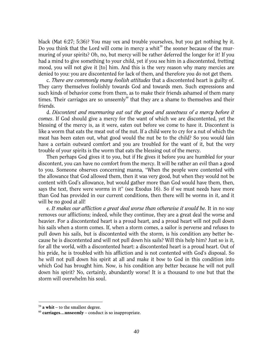black (Mat 6:27; 5:36)? You may vex and trouble yourselves, but you get nothing by it. Do you think that the Lord will come in mercy a whit<sup>[59](#page-40-0)</sup> the sooner because of the murmuring of your spirits? Oh, no, but mercy will be rather deferred the longer for it! If you had a mind to give something to your child, yet if you see him in a discontented, fretting mood, you will not give it [to] him. And this is the very reason why many mercies are denied to you: you are discontented for lack of them, and therefore you do not get them.

c. *There are commonly many foolish attitudes* that a discontented heart is guilty of. They carry themselves foolishly towards God and towards men. Such expressions and such kinds of behavior come from them, as to make their friends ashamed of them many times. Their carriages are so unseemly $\dot{p}$ <sup>[60](#page-40-1)</sup> that they are a shame to themselves and their friends.

d. *Discontent and murmuring eat out the good and sweetness of a mercy before it comes*. If God should give a mercy for the want of which we are discontented, yet the blessing of the mercy is, as it were, eaten out before we come to have it. Discontent is like a worm that eats the meat out of the nut. If a child were to cry for a nut of which the meat has been eaten out, what good would the nut be to the child? So you would fain have a certain outward comfort and you are troubled for the want of it, but the very trouble of your spirits is the worm that eats the blessing out of the mercy.

Then perhaps God gives it to you, but if He gives it before you are humbled for your discontent, you can have no comfort from the mercy. It will be rather an evil than a good to you. Someone observes concerning manna, "When the people were contented with the allowance that God allowed them, then it was very good, but when they would not be content with God's allowance, but would gather more than God would have them, then, says the text, there were worms in it" (see Exodus 16). So if we must needs have more than God has provided in our current conditions, then there will be worms in it, and it will be no good at all!

e. *It makes our affliction a great deal worse than otherwise it would be.* It in no way removes our afflictions; indeed, while they continue, they are a great deal the worse and heavier. For a discontented heart is a proud heart, and a proud heart will not pull down his sails when a storm comes. If, when a storm comes, a sailor is perverse and refuses to pull down his sails, but is discontented with the storm, is his condition any better because he is discontented and will not pull down his sails? Will this help him? Just so is it, for all the world, with a discontented heart: a discontented heart is a proud heart. Out of his pride, he is troubled with his affliction and is not contented with God's disposal. So he will not pull down his spirit at all and make it bow to God in this condition into which God has brought him. Now, is his condition any better because he will not pull down his spirit? No, certainly, abundantly worse! It is a thousand to one but that the storm will overwhelm his soul.

<span id="page-40-0"></span> $59$  **a whit** – to the smallest degree.

<span id="page-40-1"></span><sup>60</sup> **carriages…unseemly** – conduct is so inappropriate.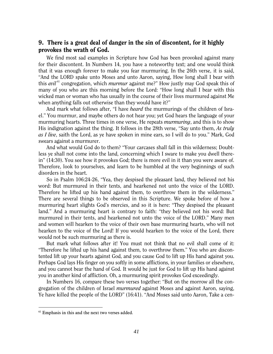#### 9. There is a great deal of danger in the sin of discontent, for it highly provokes the wrath of God.

We find most sad examples in Scripture how God has been provoked against many for their discontent. In Numbers 14, you have a noteworthy text; and one would think that it was enough forever to make you fear murmuring. In the 26th verse, it is said, "And the LORD spake unto Moses and unto Aaron, saying, How long shall I bear with this *evil* <sup>[61](#page-41-0)</sup> congregation, which *murmur* against me?" How justly may God speak this of many of you who are this morning before the Lord: "How long shall I bear with this wicked man or woman who has usually in the course of their lives murmured against Me when anything falls out otherwise than they would have it?"

And mark what follows after, "I have *heard* the murmurings of the children of Israel." You murmur, and maybe others do not hear you; yet God hears the language of your murmuring hearts. Three times in one verse, He repeats *murmuring*, and this is to show His indignation against the thing. It follows in the 28th verse, "Say unto them, *As truly as I live*, saith the Lord, as ye have spoken in mine ears, so I will do to you." Mark, God swears against a murmurer.

And what would God do to them? "Your carcases shall fall in this wilderness; Doubtless ye shall not come into the land, concerning which I sware to make you dwell therein" (14:30). You see how it provokes God; there is more evil in it than you were aware of. Therefore, look to yourselves, and learn to be humbled at the very beginnings of such disorders in the heart.

So in Psalm 106:24-26, "Yea, they despised the pleasant land, they believed not his word: But murmured in their tents, and hearkened not unto the voice of the LORD. Therefore he lifted up his hand against them, to overthrow them in the wilderness." There are several things to be observed in this Scripture. We spoke before of how a murmuring heart slights God's mercies, and so it is here: "They despised the pleasant land." And a murmuring heart is contrary to faith: "they believed not his word: But murmured in their tents, and hearkened not unto the voice of the LORD." Many men and women will hearken to the voice of their own base murmuring hearts, who will not hearken to the voice of the Lord! If you would hearken to the voice of the Lord, there would not be such murmuring as there is.

But mark what follows after it! You must not think that no evil shall come of it: "Therefore he lifted up his hand against them, to overthrow them." You who are discontented lift up your hearts against God, and you cause God to lift up His hand against you. Perhaps God lays His finger on you softly in some afflictions, in your families or elsewhere, and you cannot bear the hand of God. It would be just for God to lift up His hand against you in another kind of affliction. Oh, a murmuring spirit provokes God exceedingly.

In Numbers 16, compare these two verses together: "But on the morrow all the congregation of the children of Israel *murmured* against Moses and against Aaron, saying, Ye have killed the people of the LORD" (16:41). "And Moses said unto Aaron, Take a cen-

<span id="page-41-0"></span><sup>&</sup>lt;sup>61</sup> Emphasis in this and the next two verses added.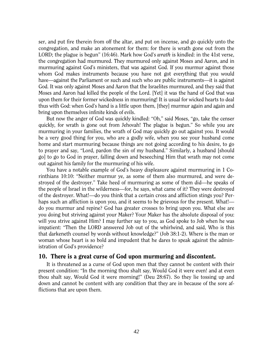ser, and put fire therein from off the altar, and put on incense, and go quickly unto the congregation, and make an atonement for them: for there is wrath gone out from the LORD; the plague is begun" (16:46). Mark how God's *wrath* is kindled: in the 41st verse, the congregation had murmured. They murmured only against Moses and Aaron, and in murmuring against God's ministers, that was against God. If you murmur against those whom God makes instruments because you have not got everything that you would have—against the Parliament or such and such who are public instruments—it is against God. It was only against Moses and Aaron that the Israelites murmured, and they said that Moses and Aaron had killed the people of the Lord. [Yet] it was the hand of God that was upon them for their former wickedness in murmuring! It is usual for wicked hearts to deal thus with God: when God's hand is a little upon them, [they] murmur again and again and bring upon themselves infinite kinds of evils.

But now the anger of God was quickly kindled: "Oh," said Moses, "go, take the censer quickly, for wrath is gone out from Jehovah! The plague is begun." So while you are murmuring in your families, the wrath of God may quickly go out against you. It would be a very good thing for you, who are a godly wife, when you see your husband come home and start murmuring because things are not going according to his desire, to go to prayer and say, "Lord, pardon the sin of my husband." Similarly, a husband [should go] to go to God in prayer, falling down and beseeching Him that wrath may not come out against his family for the murmuring of his wife.

You have a notable example of God's heavy displeasure against murmuring in 1 Corinthians 10:10: "Neither murmur ye, as some of them also murmured, and were destroyed of the destroyer." Take heed of murmuring as some of them did—he speaks of the people of Israel in the wilderness—for, he says, what came of it? They were destroyed of the destroyer. What!—do you think that a certain cross and affliction stings you? Perhaps such an affliction is upon you, and it seems to be grievous for the present. What! do you murmur and repine? God has greater crosses to bring upon you. What else are you doing but striving against your Maker? Your Maker has the absolute disposal of you: will you strive against Him? I may further say to you, as God spoke to Job when he was impatient: "Then the LORD answered Job out of the whirlwind, and said, Who is this that darkeneth counsel by words without knowledge?" (Job 38:1-2). Where is the man or woman whose heart is so bold and impudent that he dares to speak against the administration of God's providence?

#### 10. There is a great curse of God upon murmuring and discontent.

It is threatened as a curse of God upon men that they cannot be content with their present condition: "In the morning thou shalt say, Would God it were even! and at even thou shalt say, Would God it were morning!" (Deu 28:67). So they lie tossing up and down and cannot be content with any condition that they are in because of the sore afflictions that are upon them.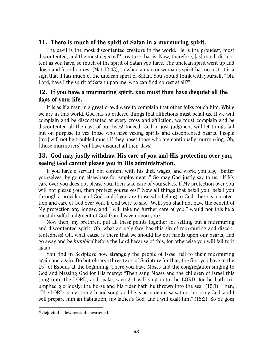#### 11. There is much of the spirit of Satan in a murmuring spirit.

The devil is the most discontented creature in the world. He is the proudest, most discontented, and the most dejected<sup>[62](#page-43-0)</sup> creature that is. Now, therefore, [as] much discontent as you have, so much of the spirit of Satan you have. The unclean spirit went up and down and found no rest (Mat 12:43); so when a man or woman's spirit has no rest, it is a sign that it has much of the unclean spirit of Satan. You should think with yourself, "Oh, Lord, have I the spirit of Satan upon me, who can find no rest at all?"

#### 12. If you have a murmuring spirit, you must then have disquiet all the days of your life.

It is as if a man in a great crowd were to complain that other folks touch him. While we are in this world, God has so ordered things that afflictions must befall us. If we will complain and be discontented at every cross and affliction, we must complain and be discontented all the days of our lives! Indeed, God in just judgment will let things fall out on purpose to vex those who have vexing spirits and discontented hearts. People [too] will not be troubled much if they upset those who are continually murmuring. Oh, [those murmurers] will have disquiet all their days!

#### 13. God may justly withdraw His care of you and His protection over you, seeing God cannot please you in His administration.

If you have a servant not content with his diet, wages, and work, you say, "Better yourselves [by going elsewhere for employment]." So may God justly say to us, "If My care over you does not please you, then take care of yourselves. If My protection over you will not please you, then protect yourselves!" Now all things that befall you, befall you through a providence of God; and if you are those who belong to God, there is a protection and care of God over you. If God were to say, "Well, you shall not have the benefit of My protection any longer, and I will take no further care of you," would not this be a most dreadful judgment of God from heaven upon you?

Now then, my brethren, put all these points together for setting out a murmuring and discontented spirit. Oh, what an ugly face has this sin of murmuring and discontentedness! Oh, what cause is there that we should lay our hands upon our hearts, and go away and be *humbled* before the Lord because of this, for otherwise you will fall to it again!

You find in Scripture how strangely the people of Israel fell to their murmuring again and again. Do but observe three texts of Scripture for that, the first you have in the  $15<sup>th</sup>$  of Exodus at the beginning. There you have Moses and the congregation singing to God and blessing God for His mercy: "Then sang Moses and the children of Israel this song unto the LORD, and spake, saying, I will sing unto the LORD, for he hath triumphed gloriously: the horse and his rider hath he thrown into the sea" (15:1). Then, "The LORD is my strength and song, and he is become my salvation: he is my God, and I will prepare him an habitation; my father's God, and I will exalt him" (15:2). So he goes

<span id="page-43-0"></span> $\overline{a}$ <sup>62</sup> **dejected** – downcast; disheartened.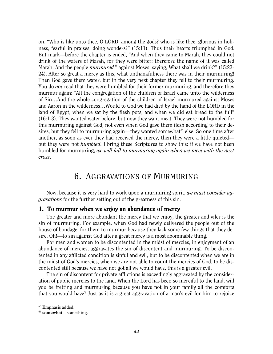on, "Who is like unto thee, O LORD, among the gods? who is like thee, glorious in holiness, fearful in praises, doing wonders?" (15:11). Thus their hearts triumphed in God. But mark—before the chapter is ended, "And when they came to Marah, they could not drink of the waters of Marah, for they were bitter: therefore the name of it was called Marah. And the people *murmured*<sup>[63](#page-44-1)</sup> against Moses, saying, What shall we drink?" (15:23-24). After so great a mercy as this, what unthankfulness there was in their murmuring! Then God gave them water, but in the very next chapter they fell to their murmuring. You do *not* read that they were humbled for their former murmuring, and therefore they murmur again: "All the congregation of the children of Israel came unto the wilderness of Sin…And the whole congregation of the children of Israel murmured against Moses and Aaron in the wilderness…Would to God we had died by the hand of the LORD in the land of Egypt, when we sat by the flesh pots, and when we did eat bread to the full" (16:1-3). They wanted water before, but now they want meat. They were not humbled for this murmuring against God, not even when God gave them flesh according to their desires, but they fell to murmuring again—they wanted somewhat $64$  else. So one time after another, as soon as ever they had received the mercy, then they were a little quieted but they were not *humbled*. I bring these Scriptures to show this: if we have not been humbled for murmuring, *we will fall to murmuring again when we meet with the next cross*.

## 6. AGGRAVATIONS OF MURMURING

<span id="page-44-0"></span>Now, because it is very hard to work upon a murmuring spirit, *we must consider aggravations* for the further setting out of the greatness of this sin.

#### 1. To murmur when we enjoy an abundance of mercy

The greater and more abundant the mercy that we enjoy, the greater and viler is the sin of murmuring. For example, when God had newly delivered the people out of the house of bondage: for them to murmur because they lack some few things that they desire. Oh!—to sin against God after a great mercy is a most abominable thing.

For men and women to be discontented in the midst of mercies, in enjoyment of an abundance of mercies, aggravates the sin of discontent and murmuring. To be discontented in any afflicted condition is sinful and evil, but to be discontented when we are in the midst of God's mercies, when we are not able to count the mercies of God, to be discontented still because we have not got all we would have, this is a greater evil.

The sin of discontent for private afflictions is exceedingly aggravated by the consideration of public mercies to the land. When the Lord has been so merciful to the land, will you be fretting and murmuring because you have not in your family all the comforts that you would have? Just as it is a great aggravation of a man's evil for him to rejoice

<span id="page-44-1"></span><sup>&</sup>lt;sup>63</sup> Emphasis added.

<span id="page-44-2"></span><sup>64</sup> **somewhat** – something.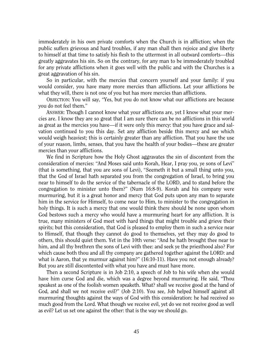immoderately in his own private comforts when the Church is in affliction; when the public suffers grievous and hard troubles, if any man shall then rejoice and give liberty to himself at that time to satisfy his flesh to the uttermost in all outward comforts—this greatly aggravates his sin. So on the contrary, for any man to be immoderately troubled for any private afflictions when it goes well with the public and with the Churches is a great aggravation of his sin.

So in particular, with the mercies that concern yourself and your family: if you would consider, you have many more mercies than afflictions. Let your afflictions be what they will, there is not one of you but has more mercies than afflictions.

OBJECTION: You will say, "Yes, but you do not know what our afflictions are because you do not feel them."

ANSWER: Though I cannot know what your afflictions are, yet I know what your mercies are. I know they are so great that I am sure there can be no afflictions in this world as great as the mercies you have—if it were only this mercy: that you have grace and salvation continued to you this day. Set any affliction beside this mercy and see which would weigh heaviest; this is certainly greater than any affliction. That you have the use of your reason, limbs, senses, that you have the health of your bodies—these are greater mercies than your afflictions.

We find in Scripture how the Holy Ghost aggravates the sin of discontent from the consideration of mercies: "And Moses said unto Korah, Hear, I pray you, ye sons of Levi" (that is something, that you are sons of Levi), "Seemeth it but a small thing unto you, that the God of Israel hath separated you from the congregation of Israel, to bring you near to himself to do the service of the tabernacle of the LORD, and to stand before the congregation to minister unto them?" (Num 16:8-9). Korah and his company were murmuring, but it is a great honor and mercy that God puts upon any man to separate him in the service for Himself, to come near to Him, to minister to the congregation in holy things. It is such a mercy that one would think there should be none upon whom God bestows such a mercy who would have a murmuring heart for any affliction. It is true, many ministers of God meet with hard things that might trouble and grieve their spirits; but this consideration, that God is pleased to employ them in such a service near to Himself, that though they cannot do good to themselves, yet they may do good to others, this should quiet them. Yet in the 10th verse: "And he hath brought thee near to him, and all thy brethren the sons of Levi with thee: and seek ye the priesthood also? For which cause both thou and all thy company are gathered together against the LORD: and what is Aaron, that ye murmur against him?" (16:10-11). Have you not enough already? But you are still discontented with what you have and must have more.

Then a second Scripture is in Job 2:10, a speech of Job to his wife when she would have him curse God and die, which was a degree beyond murmuring. He said, "Thou speakest as one of the foolish women speaketh. What? shall we receive good at the hand of God, and shall we not receive evil?" (Job 2:10). You see, Job helped himself against all murmuring thoughts against the ways of God with this consideration: he had received so much good from the Lord. What though we receive evil, yet do we not receive good as well as evil? Let us set one against the other: that is the way we should go.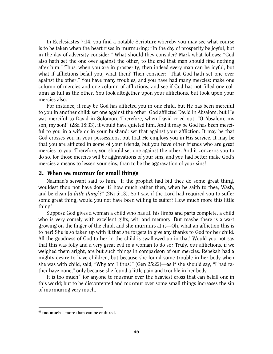In Ecclesiastes 7:14, you find a notable Scripture whereby you may see what course is to be taken when the heart rises in murmuring: "In the day of prosperity be joyful, but in the day of adversity consider." What should they consider? Mark what follows: "God also hath set the one over against the other, to the end that man should find nothing after him." Thus, when you are in prosperity, then indeed every man can be joyful, but what if afflictions befall you, what then? Then consider: "That God hath set one over against the other." You have many troubles, and you have had many mercies: make one column of mercies and one column of afflictions, and see if God has not filled one column as full as the other. You look altogether upon your afflictions, but look upon your mercies also.

For instance, it may be God has afflicted you in one child, but He has been merciful to you in another child: set one against the other. God afflicted David in Absalom, but He was merciful to David in Solomon. Therefore, when David cried out, "O Absalom, my son, my son!" (2Sa 18:33), it would have quieted him. And it may be God has been merciful to you in a wife or in your husband: set that against your affliction. It may be that God crosses you in your possessions, but that He employs you in His service. It may be that you are afflicted in some of your friends, but you have other friends who are great mercies to you. Therefore, you should set one against the other. And it concerns you to do so, for those mercies will be aggravations of your sins, and you had better make God's mercies a means to lessen your sins, than to be the aggravation of your sins!

#### 2. When we murmur for small things

Naaman's servant said to him, "If the prophet had bid thee do some great thing, wouldest thou not have done it? how much rather then, when he saith to thee, Wash, and be clean [*a little thing*]?" (2Ki 5:13). So I say, if the Lord had required you to suffer some great thing, would you not have been willing to suffer? How much more this little thing!

Suppose God gives a woman a child who has all his limbs and parts complete, a child who is very comely with excellent gifts, wit, and memory. But maybe there is a wart growing on the finger of the child, and she murmurs at it—Oh, what an affliction this is to her! She is so taken up with it that she forgets to give any thanks to God for her child. All the goodness of God to her in the child is swallowed up in that! Would you not say that this was folly and a very great evil in a woman to do so? Truly, our afflictions, if we weighed them aright, are but such things in comparison of our mercies. Rebekah had a mighty desire to have children, but because she found some trouble in her body when she was with child, said, "Why am I thus?" (Gen 25:22)—as if she should say, "I had rather have none," only because she found a little pain and trouble in her body.

It is too much<sup> $65$ </sup> for anyone to murmur over the heaviest cross that can befall one in this world; but to be discontented and murmur over some small things increases the sin of murmuring very much.

<span id="page-46-0"></span><sup>65</sup> **too much** – more than can be endured.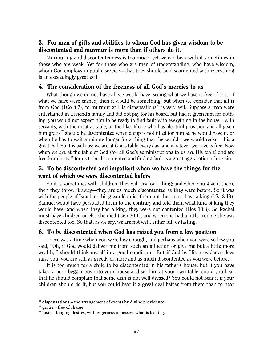#### 3. For men of gifts and abilities to whom God has given wisdom to be discontented and murmur is more than if others do it.

Murmuring and discontentedness is too much, yet we can bear with it sometimes in those who are weak. Yet for those who are men of understanding, who have wisdom, whom God employs in public service—that they should be discontented with everything is an exceedingly great evil.

#### 4. The consideration of the freeness of all God's mercies to us

What though we do not have all we would have, seeing what we have is free of cost! If what we have were earned, then it would be something; but when we consider that all is from God (1Co 4:7), to murmur at His dispensations<sup>[66](#page-47-0)</sup> is very evil. Suppose a man were entertained in a friend's family and did not pay for his board, but had it given him for nothing: you would not expect him to be ready to find fault with everything in the house—with servants, with the meat at table, or the like. If one who has plentiful provision and all given him gratis<sup> $67$ </sup> should be discontented when a cup is not filled for him as he would have it, or when he has to wait a minute longer for a thing than he would—we would reckon this a great evil. So it is with us: we are at God's table every day, and whatever we have is free. Now when we are at the table of God (for all God's administrations to us are His table) and are free from lusts,<sup>[68](#page-47-2)</sup> for us to be discontented and finding fault is a great aggravation of our sin.

#### 5. To be discontented and impatient when we have the things for the want of which we were discontented before

So it is sometimes with children: they will cry for a thing; and when you give it them, then they throw it away—they are as much discontented as they were before. So it was with the people of Israel: nothing would quiet them but they must have a king (1Sa 8:19). Samuel would have persuaded them to the contrary and told them what kind of king they would have; and when they had a king, they were not contented (Hos 10:3). So Rachel must have children or else she died (Gen 30:1), and when she had a little trouble she was discontented too. So that, as we say, we are not well, either full or fasting.

#### 6. To be discontented when God has raised you from a low position

There was a time when you were low enough, and perhaps when you were so low you said, "Oh, if God would deliver me from such an affliction or give me but a little more wealth, I should think myself in a good condition." But if God by His providence does raise you, you are still as greedy of more and as much discontented as you were before.

It is too much for a child to be discontented in his father's house, but if you have taken a poor beggar boy into your house and set him at your own table, could you bear that he should complain that some dish is not well dressed? You could not bear it if your children should do it, but you could bear it a great deal better from them than to hear

<span id="page-47-0"></span><sup>66</sup> **dispensations** – the arrangement of events by divine providence.

<span id="page-47-1"></span><sup>67</sup> **gratis** – free of charge.

<span id="page-47-2"></span><sup>68</sup> **lusts** – longing desires, with eagerness to possess what is lacking.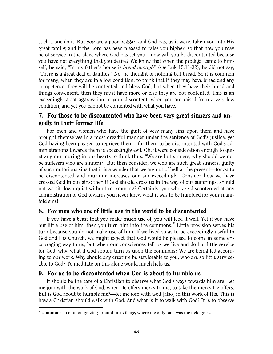such a one do it. But *you* are a poor beggar, and God has, as it were, taken you into His great family; and if the Lord has been pleased to raise you higher, so that now you may be of service in the place where God has set you—now will you be discontented because you have not everything that you desire? We know that when the prodigal came to himself, he said, "In my father's house is *bread enough*" (*see* Luk 15:11-32); he did not say, "There is a great deal of dainties." No, he thought of nothing but bread. So it is common for many, when they are in a low condition, to think that if they may have bread and any competence, they will be contented and bless God; but when they have their bread and things convenient, then they must have more or else they are not contented. This is an exceedingly great aggravation to your discontent: when you are raised from a very low condition, and yet you cannot be contented with what you have.

#### 7. For those to be discontented who have been very great sinners and ungodly in their former life

For men and women who have the guilt of very many sins upon them and have brought themselves in a most dreadful manner under the sentence of God's justice, yet God having been pleased to reprieve them—for them to be discontented with God's administrations towards them is exceedingly evil. Oh, it were consideration enough to quiet any murmuring in our hearts to think thus: "We are but sinners; why should we not be sufferers who are sinners?" But then consider, we who are such great sinners, guilty of such notorious sins that it is a wonder that we are out of hell at the present—for *us* to be discontented and murmur increases our sin exceedingly! Consider how we have crossed God in our sins; then if God should cross us in the way of our sufferings, should not we sit down quiet without murmuring? Certainly, you who are discontented at any administration of God towards you never knew what it was to be humbled for your manifold sins!

#### 8. For men who are of little use in the world to be discontented

If you have a beast that you make much use of, you will feed it well. Yet if you have but little use of him, then you turn him into the commons. [69](#page-48-0) Little provision serves his turn because you do not make use of him. If we lived so as to be exceedingly useful to God and His Church, we might expect that God would be pleased to come in some encouraging way to us; but when our consciences tell us we live and do but little service for God, why, what if God should turn us upon the commons? We are being fed according to our work. Why should any creature be serviceable to you, who are so little serviceable to God? To meditate on this alone would much help us.

#### 9. For us to be discontented when God is about to humble us

It should be the care of a Christian to observe what God's ways towards him are. Let me join with the work of God, when He offers mercy to me, to take the mercy He offers. But is God about to humble me?—let me join with God [also] in this work of His. This is how a Christian should walk with God. And what is it to walk with God? It is to observe

<span id="page-48-0"></span> $\overline{a}$ <sup>69</sup> **commons** – common grazing-ground in a village, where the only food was the field grass.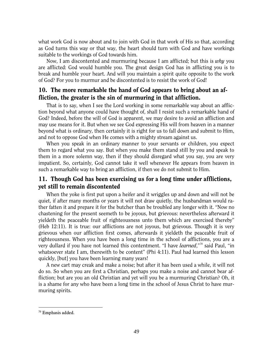what work God is now about and to join with God in that work of His so that, according as God turns this way or that way, the heart should turn with God and have workings suitable to the workings of God towards him.

Now, I am discontented and murmuring because I am afflicted; but this is *why* you are afflicted: God would humble you. The great design God has in afflicting you is to break and humble your heart. And will you maintain a spirit quite opposite to the work of God? For you to murmur and be discontented is to resist the work of God!

#### 10. The more remarkable the hand of God appears to bring about an affliction, the greater is the sin of murmuring in that affliction.

That is to say, when I see the Lord working in some remarkable way about an affliction beyond what anyone could have thought of, shall I resist such a remarkable hand of God? Indeed, before the will of God is apparent, we may desire to avoid an affliction and may use means for it. But when we see God expressing His will from heaven in a manner beyond what is ordinary, then certainly it is right for us to fall down and submit to Him, and not to oppose God when He comes with a mighty stream against us.

When you speak in an ordinary manner to your servants or children, you expect them to regard what you say. But when you make them stand still by you and speak to them in a more solemn way, then if they should disregard what you say, you are very impatient. So, certainly, God cannot take it well whenever He appears from heaven in such a remarkable way to bring an affliction, if then we do not submit to Him.

#### 11. Though God has been exercising us for a long time under afflictions, yet still to remain discontented

When the yoke is first put upon a heifer and it wriggles up and down and will not be quiet, if after many months or years it will not draw quietly, the husbandman would rather fatten it and prepare it for the butcher than be troubled any longer with it. "Now no chastening for the present seemeth to be joyous, but grievous: nevertheless afterward it yieldeth the peaceable fruit of righteousness unto them which are exercised thereby" (Heb 12:11). It is true: our afflictions are not joyous, but grievous. Though it is very grievous when our affliction first comes, afterwards it yieldeth the peaceable fruit of righteousness. When you have been a long time in the school of afflictions, you are a very dullard if you have not learned this contentment. "I have *learned*,"<sup>[70](#page-49-0)</sup> said Paul, "in whatsoever state I am, therewith to be content" (Phi 4:11). Paul had learned this lesson quickly, [but] you have been learning many years!

A new cart may creak and make a noise; but after it has been used a while, it will not do so. So when you are first a Christian, perhaps you make a noise and cannot bear affliction; but are you an old Christian and yet will you be a murmuring Christian? Oh, it is a shame for any who have been a long time in the school of Jesus Christ to have murmuring spirits.

<span id="page-49-0"></span> $\overline{a}$ <sup>70</sup> Emphasis added.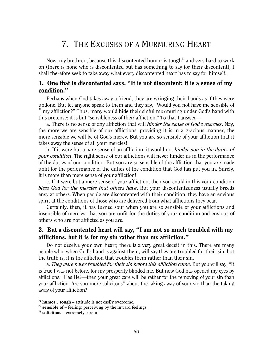## 7. THE EXCUSES OF A MURMURING HEART

<span id="page-50-0"></span>Now, my brethren, because this discontented humor is tough<sup> $71$ </sup> and very hard to work on (there is none who is discontented but has something to say for their discontent), I shall therefore seek to take away what every discontented heart has to say for himself.

#### 1. One that is discontented says, "It is not discontent; it is a sense of my condition."

Perhaps when God takes away a friend, they are wringing their hands as if they were undone. But let anyone speak to them and they say, "Would you not have me sensible of  $72$  my affliction?" Thus, many would hide their sinful murmuring under God's hand with this pretense: it is but "sensibleness of their affliction." To that I answer—

a. There is no sense of any affliction that will *hinder the sense of God's mercies*. Nay, the more we are sensible of our afflictions, providing it is in a gracious manner, the more sensible we will be of God's mercy. But you are so sensible of your affliction that it takes away the sense of all your mercies!

b. If it were but a bare sense of an affliction, it would not *hinder you in the duties of your condition*. The right sense of our afflictions will never hinder us in the performance of the duties of our condition. But you are so sensible of the affliction that you are made unfit for the performance of the duties of the condition that God has put you in. Surely, it is more than mere sense of your affliction!

c. If it were but a mere sense of your affliction, then you could in this your condition *bless God for the mercies that others have*. But your discontentedness usually breeds envy at others. When people are discontented with their condition, they have an envious spirit at the conditions of those who are delivered from what afflictions they bear.

Certainly, then, it has turned sour when you are so sensible of your afflictions and insensible of mercies, that you are unfit for the duties of your condition and envious of others who are not afflicted as you are.

#### 2. But a discontented heart will say, "I am not so much troubled with my afflictions, but it is for my sin rather than my affliction."

Do not deceive your own heart; there is a very great deceit in this. There are many people who, when God's hand is against them, will say they are troubled for their sin; but the truth is, it is the affliction that troubles them rather than their sin.

a. *They were never troubled for their sin before this affliction came*. But you will say, "It is true I was not before, for my prosperity blinded me. But now God has opened my eyes by afflictions." Has He?—then your great care will be rather for the removing of your sin than your affliction. Are you more solicitous<sup>[73](#page-50-3)</sup> about the taking away of your sin than the taking away of your affliction?

<span id="page-50-1"></span><sup>&</sup>lt;sup>71</sup> **humor...tough** – attitude is not easily overcome.

<span id="page-50-2"></span> $72$  sensible of – feeling; perceiving by the inward feelings.

<span id="page-50-3"></span><sup>73</sup> **solicitous** – extremely careful.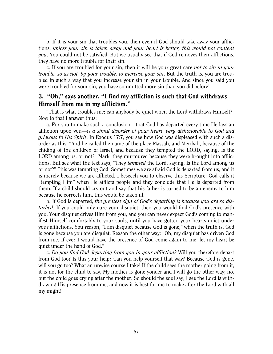b. If it is your sin that troubles you, then even if God should take away your afflictions, *unless your sin is taken away and your heart is better, this would not content you*. You could not be satisfied. But we usually see that if God removes their afflictions, they have no more trouble for their sin.

c. If you are troubled for your sin, then it will be your great care *not to sin in your trouble, so as not, by your trouble, to increase your sin*. But the truth is, you are troubled in such a way that you increase your sin in your trouble. And since you said you were troubled for your sin, you have committed more sin than you did before!

#### 3. "Oh," says another, "I find my affliction is such that God withdraws Himself from me in my affliction."

"That is what troubles me; can anybody be quiet when the Lord withdraws Himself?" Now to that I answer thus:

a. For you to make such a conclusion—that God has departed every time He lays an affliction upon you—is *a sinful disorder of your heart, very dishonorable to God and grievous to His Spirit*. In Exodus 17:7, you see how God was displeased with such a disorder as this: "And he called the name of the place Massah, and Meribah, because of the chiding of the children of Israel, and because they tempted the LORD, saying, Is the LORD among us, or not?" Mark, they murmured because they were brought into afflictions. But see what the text says, "They *tempted* the Lord, saying, Is the Lord among us or not?" This was tempting God. Sometimes we are afraid God is departed from us, and it is merely because we are afflicted. I beseech you to observe this Scripture: God calls it "tempting Him" when He afflicts people and they conclude that He is departed from them. If a child should cry out and say that his father is turned to be an enemy to him because he corrects him, this would be taken ill.

b. If God is departed, *the greatest sign of God's departing is because you are so disturbed*. If you could only cure your disquiet, then you would find God's presence with you. Your disquiet drives Him from you, and you can never expect God's coming to manifest Himself comfortably to your souls, until you have gotten your hearts quiet under your afflictions. You reason, "I am disquiet because God is gone," when the truth is, God is gone because you are disquiet. Reason the other way: "Oh, my disquiet has driven God from me. If ever I would have the presence of God come again to me, let my heart be quiet under the hand of God."

c. *Do you find God departing from you in your affliction?* Will you therefore depart from God too? Is this your help? Can you help yourself that way? Because God is gone, will you go too? What an unwise course I take! If the child sees the mother going from it, it is not for the child to say, My mother is gone yonder and I will go the other way; no, but the child goes crying after the mother. So should the soul say, I see the Lord is withdrawing His presence from me, and now it is best for me to make after the Lord with all my might!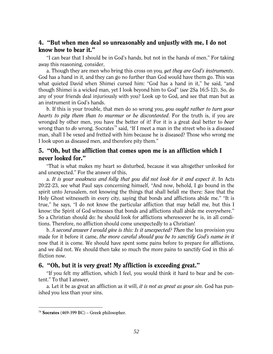#### 4. "But when men deal so unreasonably and unjustly with me, I do not know how to bear it."

"I can bear that I should be in God's hands, but not in the hands of men." For taking away this reasoning, consider,

a. Though they are men who bring this cross on you*, yet they are God's instruments*. God has a hand in it, and they can go no further than God would have them go. This was what quieted David when Shimei cursed him: "God has a hand in it," he said, "and though Shimei is a wicked man, yet I look beyond him to God" (*see* 2Sa 16:5-12). So, do any of your friends deal injuriously with you? Look up to God, and see that man but as an instrument in God's hands.

b. If this is your trouble, that men do so wrong you, *you ought rather to turn your hearts to pity them than to murmur or be discontented*. For the truth is, if you are wronged by other men, you have the better of it! For it is a great deal better to *bear* wrong than to *do* wrong. Socrates<sup>[74](#page-52-0)</sup> said, "If I meet a man in the street who is a diseased man, shall I be vexed and fretted with him because he is diseased? Those who wrong me I look upon as diseased men, and therefore pity them."

#### 5. "Oh, but the affliction that comes upon me is an affliction which I never looked for."

"That is what makes my heart so disturbed, because it was altogether unlooked for and unexpected." For the answer of this,

a. *It is your weakness and folly that you did not look for it and expect it*. In Acts 20:22-23, see what Paul says concerning himself, "And now, behold, I go bound in the spirit unto Jerusalem, not knowing the things that shall befall me there: Save that the Holy Ghost witnesseth in every city, saying that bonds and afflictions abide me." "It is true," he says, "I do not know the particular affliction that may befall me, but this I know: the Spirit of God witnesses that bonds and afflictions shall abide me everywhere." So a Christian should do: he should look for afflictions wheresoever he is, in all conditions. Therefore, no affliction should come unexpectedly to a Christian!

b. *A second answer I would give is this: Is it unexpected? Then the less provision you* made for it before it came, *the more careful should you be to sanctify God's name in it* now that it is come. We should have spent some pains before to prepare for afflictions, and we did not. We should then take so much the more pains to sanctify God in this affliction now.

#### 6. "Oh, but it is very great! My affliction is exceeding great."

"If you felt my affliction, which I feel, you would think it hard to bear and be content." To that I answer,

a. Let it be as great an affliction as it will, *it is not as great as your sin*. God has punished you less than your sins.

<span id="page-52-0"></span> $\overline{a}$ <sup>74</sup> **Socrates** (469-399 BC) – Greek philosopher.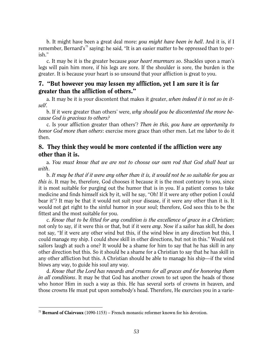b. It might have been a great deal more: *you might have been in hell*. And it is, if I remember, Bernard's<sup>[75](#page-53-0)</sup> saying: he said, "It is an easier matter to be oppressed than to perish."

c. It may be it is the greater because *your heart murmurs so*. Shackles upon a man's legs will pain him more, if his legs are sore. If the shoulder is sore, the burden is the greater. It is because your heart is so unsound that your affliction is great to you.

#### 7. "But however you may lessen my affliction, yet I am sure it is far greater than the affliction of others."

a. It may be it is your discontent that makes it greater, *when indeed it is not so in itself*.

b. If it were greater than others' were, *why should you be discontented the more because God is gracious to others?*

c. Is your affliction greater than others'? *Then in this, you have an opportunity to honor God more than others*: exercise more grace than other men. Let me labor to do it then.

#### 8. They think they would be more contented if the affliction were any other than it is.

a. *You must know that we are not to choose our own rod that God shall beat us with*.

b. *It may be that if it were any other than it is, it would not be so suitable for you as this is*. It may be, therefore, God chooses it because it is the most contrary to you, since it is most suitable for purging out the humor that is in you. If a patient comes to take medicine and finds himself sick by it, will he say, "Oh! If it were any other potion I could bear it"? It may be that it would not suit your disease, if it were any other than it is. It would not get right to the sinful humor in your soul; therefore, God sees this to be the fittest and the most suitable for you.

c. *Know that to be fitted for any condition is the excellence of grace in a Christian*; not only to say, if it were this or that, but if it were *any*. Now if a sailor has skill, he does not say, "If it were any other wind but this, if the wind blew in any direction but this, I could manage my ship. I could show skill in other directions, but not in this." Would not sailors laugh at such a one? It would be a shame for him to say that he has skill in any other direction but this. So it should be a shame for a Christian to say that he has skill in any other affliction but this. A Christian should be able to manage his ship—if the wind blows any way, to guide his soul any way.

d. *Know that the Lord has rewards and crowns for all graces and for honoring them in all conditions*. It may be that God has another crown to set upon the heads of those who honor Him in such a way as this. He has several sorts of crowns in heaven, and those crowns He must put upon somebody's head. Therefore, He exercises you in a varie-

<span id="page-53-0"></span> $\overline{a}$ <sup>75</sup> **Bernard of Clairvaux** (1090-1153) – French monastic reformer known for his devotion.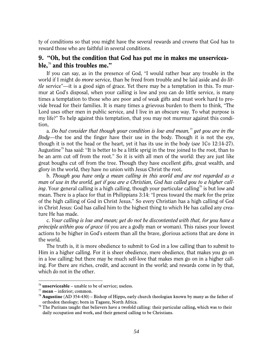ty of conditions so that you might have the several rewards and crowns that God has to reward those who are faithful in several conditions.

#### 9. "Oh, but the condition that God has put me in makes me unservicea-ble.<sup>[76](#page-54-0)</sup> and this troubles me."

If you can say, as in the presence of God, "I would rather bear any trouble in the world if I might do *more* service, than be freed from trouble and be laid aside and do *little* service"—it is a good sign of grace. Yet there may be a temptation in this. To murmur at God's disposal, when your calling is low and you can do little service, is many times a temptation to those who are poor and of weak gifts and must work hard to provide bread for their families. It is many times a grievous burden to them to think, "The Lord uses other men in public service, and I live in an obscure way. To what purpose is my life?" To help against this temptation, that you may not murmur against this condition,

a. Do but consider that though your condition is low and mean,<sup>[77](#page-54-1)</sup> yet you are in the *Body*—the toe and the finger have their use in the body. Though it is not the eye, though it is not the head or the heart, yet it has its use in the body (*see* 1Co 12:14-27). Augustine<sup>[78](#page-54-2)</sup> has said: "It is better to be a little sprig in the tree joined to the root, than to be an arm cut off from the root." So it is with all men of the world: they are just like great boughs cut off from the tree. Though they have excellent gifts, great wealth, and glory in the world, they have no union with Jesus Christ the root.

b. *Though you have only a mean calling in this world and are not regarded as a man of use in the world, yet if you are a Christian, God has called you to a higher calling*. Your general calling is a high calling, though your particular calling<sup>[79](#page-54-3)</sup> is but low and mean. There is a place for that in Philippians 3:14: "I press toward the mark for the prize of the high calling of God in Christ Jesus." So every Christian has a high calling of God in Christ Jesus: God has called him to the highest thing to which He has called any creature He has made.

c. *Your calling is low and mean; yet do not be discontented with that, for you have a principle within you of grace* (if you are a godly man or woman). This raises your lowest actions to be higher in God's esteem than all the brave, glorious actions that are done in the world.

The truth is, it is more obedience to submit to God in a low calling than to submit to Him in a higher calling. For it is sheer obedience, mere obedience, that makes you go on in a low calling; but there may be much self-love that makes men go on in a higher calling. For there are riches, credit, and account in the world; and rewards come in by that, which do not in the other.

<span id="page-54-0"></span><sup>76</sup> **unserviceable** – unable to be of service; useless.

<span id="page-54-1"></span><sup>77</sup> **mean** – inferior; common.

<span id="page-54-2"></span><sup>78</sup> **Augustine** (AD 354-430) – Bishop of Hippo, early church theologian known by many as the father of orthodox theology; born in Tagaste, North Africa.

<span id="page-54-3"></span> $79$  The Puritans taught that believers have a twofold calling: their particular calling, which was to their daily occupation and work, and their general calling to be Christians.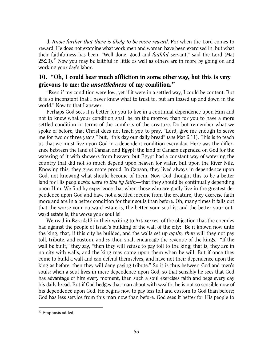d. *Know further that there is likely to be more reward*. For when the Lord comes to reward, He does not examine what work men and women have been exercised in, but what their faithfulness has been. "Well done, good and *faithful* servant," said the Lord (Mat  $25:23$ ).<sup>[80](#page-55-0)</sup> Now you may be faithful in little as well as others are in more by going on and working your day's labor.

#### 10. "Oh, I could bear much affliction in some other way, but this is very grievous to me: the *unsettledness* of my condition."

"Even if my condition were low, yet if it were in a settled way, I could be content. But it is so inconstant that I never know what to trust to, but am tossed up and down in the world." Now to that I answer,

Perhaps God sees it is better for you to live in a continual dependence upon Him and not to know what your condition shall be on the morrow than for you to have a more settled condition in terms of the comforts of the creature. Do but remember what we spoke of before, that Christ does not teach you to pray, "Lord, give me enough to serve me for two or three years," but, "this day our daily bread" (*see* Mat 6:11). This is to teach us that we must live upon God in a dependent condition every day. Here was the difference between the land of Canaan and Egypt: the land of Canaan depended on God for the watering of it with showers from heaven; but Egypt had a constant way of watering the country that did not so much depend upon heaven for water, but upon the River Nile. Knowing this, they grew more proud. In Canaan, they lived always in dependence upon God, not knowing what should become of them. Now God thought this to be a better land for His people *who were to live by faith*—that they should be continually depending upon Him. We find by experience that when those who are godly live in the greatest dependence upon God and have not a settled income from the creature, they exercise faith more and are in a better condition for their souls than before. Oh, many times it falls out that the worse your outward estate is, the better your soul is; and the better your outward estate is, the worse your soul is!

We read in Ezra 4:13 in their writing to Artaxerxes, of the objection that the enemies had against the people of Israel's building of the wall of the city: "Be it known now unto the king, that, if this city be builded, and the walls set up *again, then* will they not pay toll, tribute, and custom, and *so* thou shalt endamage the revenue of the kings." "If the wall be built," they say, "then they will refuse to pay toll to the king; that is, they are in no city with walls, and the king may come upon them when he will. But if once they come to build a wall and can defend themselves, and have not their dependence upon the king as before, then they will deny paying tribute." So it is thus between God and men's souls: when a soul lives in mere dependence upon God, so that sensibly he sees that God has advantage of him every moment, then such a soul exercises faith and begs every day his daily bread. But if God hedges that man about with wealth, he is not so sensible now of his dependence upon God. He begins now to pay less toll and custom to God than before; God has less service from this man now than before. God sees it better for His people to

<span id="page-55-0"></span> $\overline{a}$ <sup>80</sup> Emphasis added.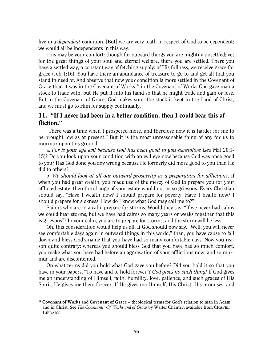live in a *dependent* condition. [But] we are very loath in respect of God to be dependent; we would all be independents in this way.

This may be your comfort: though for outward things you are mightily unsettled; yet for the great things of your soul and eternal welfare, there you are settled. There you have a settled way, a constant way of fetching supply: of His fullness, we receive grace for grace (Joh 1:16). You have there an abundance of treasure to go to and get all that you stand in need of. And observe that now your condition is more settled in the Covenant of Grace than it was in the Covenant of Works: ${}^{81}$  ${}^{81}$  ${}^{81}$  in the Covenant of Works God gave man a stock to trade with, but He put it into his hand so that he might trade and gain or lose. But in the Covenant of Grace, God makes sure: the stock is kept in the hand of Christ, and we must go to Him for supply continually.

#### 11. "If I never had been in a better condition, then I could bear this affliction."

"There was a time when I prospered more, and therefore now it is harder for me to be brought low as at present." But it is the most unreasonable thing of any for us to murmur upon this ground,

a. *For is your eye evil because God has been good to you heretofore* (*see* Mat 20:1- 15)? Do you look upon your condition with an evil eye now because God was once good to you? Has God done you any wrong because He formerly did more good to you than He did to others?

b. *We should look at all our outward prosperity as a preparation for afflictions*. If when you had great wealth, you made use of the mercy of God to prepare you for your afflicted estate, then the change of your estate would not be so grievous. Every Christian should say, "Have I wealth now? I should prepare for poverty. Have I health now? I should prepare for sickness. How do I know what God may call me to?"

Sailors who are in a calm prepare for storms. Would they say, "If we never had calms we could bear storms, but we have had calms so many years or weeks together that this is grievous"? In your calm, you are to prepare for storms, and the storm will be less.

Oh, this consideration would help us all. If God should now say, "Well, you will never see comfortable days again in outward things in this world," then, you have cause to fall down and bless God's name that you have had so many comfortable days. Now you reason quite contrary: whereas you should bless God that you have had so much comfort, you make what you have had before an aggravation of your afflictions now, and so murmur and are discontented.

On what terms did you hold what God gave you before? Did you hold it so that you have in your papers, "To have and to hold forever"? *God gives no such thing!* If God gives me an understanding of Himself, faith, humility, love, patience, and such graces of His Spirit, He gives me them forever. If He gives me Himself, His Christ, His promises, and

<span id="page-56-0"></span><sup>81</sup> **Covenant of Works** and **Covenant of Grace** – theological terms for God's relation to man in Adam and in Christ. See *The Covenants: Of Works and of Grace* by Walter Chantry, available from CHAPEL LIBRARY.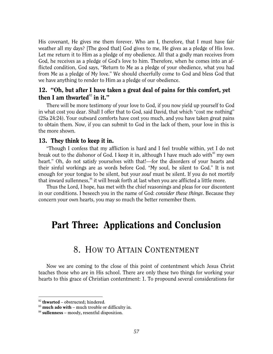His covenant, He gives me them forever. Who am I, therefore, that I must have fair weather all my days? [The good that] God gives to me, He gives as a pledge of His love. Let me return it to Him as a pledge of my obedience. All that a godly man receives from God, he receives as a pledge of God's love to him. Therefore, when he comes into an afflicted condition, God says, "Return to Me as a pledge of your obedience, what you had from Me as a pledge of My love." We should cheerfully come to God and bless God that we have anything to render to Him as a pledge of our obedience.

#### 12. "Oh, but after I have taken a great deal of pains for this comfort, yet then I am thwarted $^{82}$  $^{82}$  $^{82}$  in it."

There will be more testimony of your love to God, if you now yield up yourself to God in what cost you dear. Shall I offer that to God, said David, that which "cost me nothing" (2Sa 24:24). Your outward comforts have cost you much, and you have taken great pains to obtain them. Now, if you can submit to God in the lack of them, your love in this is the more shown.

#### 13. They think to keep it in.

"Though I confess that my affliction is hard and I feel trouble within, yet I do not break out to the dishonor of God. I keep it in, although I have much ado with<sup>[83](#page-57-2)</sup> my own heart." Oh, do not satisfy yourselves with that!—for the disorders of your hearts and their sinful workings are as words before God. "My soul, be silent to God." It is not enough for your tongue to be silent, but your *soul* must be silent. If you do not mortify that inward sullenness,<sup>[84](#page-57-3)</sup> it will break forth at last when you are afflicted a little more.

Thus the Lord, I hope, has met with the chief reasonings and pleas for our discontent in our conditions. I beseech you in the name of God: *consider these things*. Because they concern your own hearts, you may so much the better remember them.

## <span id="page-57-0"></span>Part Three: Applications and Conclusion

## 8. HOW TO ATTAIN CONTENTMENT

Now we are coming to the close of this point of contentment which Jesus Christ teaches those who are in His school. There are only these two things for working your hearts to this grace of Christian contentment: 1. To propound several considerations for

<span id="page-57-1"></span><sup>82</sup> **thwarted** – obstructed; hindered.

<span id="page-57-2"></span><sup>83</sup> **much ado with** – much trouble or difficulty in.

<span id="page-57-3"></span><sup>84</sup> **sullenness** – moody, resentful disposition.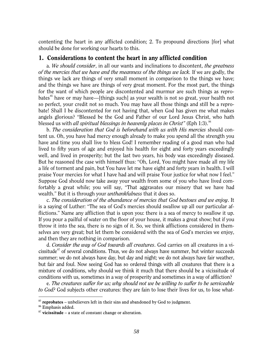contenting the heart in any afflicted condition; 2. To propound directions [for] what should be done for working our hearts to this.

#### 1. Considerations to content the heart in any afflicted condition

a. *We should consider*, in all our wants and inclinations to discontent, *the greatness of the mercies that we have and the meanness of the things we lack.* If we are godly, the things we lack are things of very small moment in comparison to the things we have; and the things we have are things of very great moment. For the most part, the things for the want of which people are discontented and murmur are such things as repro-bates<sup>[85](#page-58-0)</sup> have or may have—[things such] as your wealth is not so great, your health not so perfect, your credit not so much. You may have all those things and still be a reprobate! Shall I be discontented for not having that, when God has given me what makes angels glorious? "Blessed be the God and Father of our Lord Jesus Christ, who hath blessed us with *all spiritual blessings in heavenly places in Christ*" (Eph 1:3).<sup>[86](#page-58-1)</sup>

b. *The consideration that God is beforehand with us with His mercies* should content us. Oh, you have had mercy enough already to make you spend all the strength you have and time you shall live to bless God! I remember reading of a good man who had lived to fifty years of age and enjoyed his health for eight and forty years exceedingly well, and lived in prosperity; but the last two years, his body was exceedingly diseased. But he reasoned the case with himself thus: "Oh, Lord, You might have made all my life a life of torment and pain, but You have let me have eight and forty years in health. I will praise Your mercies for what I have had and will praise Your justice for what now I feel." Suppose God should now take away your wealth from some of you who have lived comfortably a great while; you will say, "That aggravates our misery that we have had wealth." But it is through your *unthankfulness* that it does so.

c. *The consideration of the abundance of mercies that God bestows and we enjoy*. It is a saying of Luther: "The sea of God's mercies should swallow up all our particular afflictions." Name any affliction that is upon you: there is a sea of mercy to swallow it up. If you pour a pailful of water on the floor of your house, it makes a great show; but if you throw it into the sea, there is no sign of it. So, we think afflictions considered in themselves are very great; but let them be considered with the sea of God's mercies we enjoy, and then they are nothing in comparison.

d. *Consider the way of God towards all creatures*. God carries on all creatures in a vicissitude $^{87}$  $^{87}$  $^{87}$  of several conditions. Thus, we do not always have summer, but winter succeeds summer; we do not always have day, but day and night; we do not always have fair weather, but fair and foul. Now seeing God has so ordered things with all creatures that there is a mixture of conditions, why should we think it much that there should be a vicissitude of conditions with us, sometimes in a way of prosperity and sometimes in a way of affliction?

e. *The creatures suffer for us; why should not we be willing to suffer to be serviceable to God?* God subjects other creatures: they are fain to lose their lives for us, to lose what-

<span id="page-58-0"></span><sup>85</sup> **reprobates** – unbelievers left in their sins and abandoned by God to judgment.

<span id="page-58-1"></span><sup>86</sup> Emphasis added.

<span id="page-58-2"></span><sup>87</sup> **vicissitude** – a state of constant change or alteration.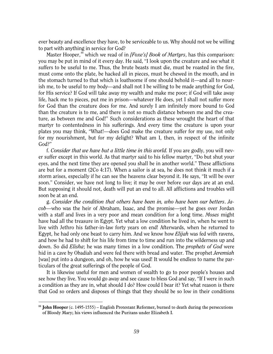ever beauty and excellence they have, to be serviceable to us. Why should not we be willing to part with anything in service for God?

Master Hooper,<sup>[88](#page-59-0)</sup> which we read of in *[Foxe's] Book of Martyrs*, has this comparison: you may be put in mind of it every day. He said, "I look upon the creature and see what it suffers to be useful to me. Thus, the brute beasts must die, must be roasted in the fire, must come onto the plate, be hacked all in pieces, must be chewed in the mouth, and in the stomach turned to that which is loathsome if one should behold it—and all to nourish me, to be useful to my body—and shall not I be willing to be made anything for God, for His service? If God will take away my wealth and make me poor; if God will take away life, hack me to pieces, put me in prison—whatever He does, yet I shall not suffer more for God than the creature does for me. And surely I am infinitely more bound to God than the creature is to me, and there is not so much distance between me and the creature, as between me and God!" Such considerations as these wrought the heart of that martyr to contentedness in his sufferings. And every time the creature is upon your plates you may think, "What!—does God make the creature suffer for my use, not only for my nourishment, but for my delight? What am I, then, in respect of the infinite God?"

f. *Consider that we have but a little time in this world.* If you are godly, you will never suffer except in this world. As that martyr said to his fellow martyr, "Do but shut your eyes, and the next time they are opened you shall be in another world." These afflictions are but for a moment (2Co 4:17). When a sailor is at sea, he does not think it much if a storm arises, especially if he can see the heavens clear beyond it. He says, "It will be over soon." Consider, we have not long to live; it may be over before our days are at an end. But supposing it should not, death will put an end to all. All afflictions and troubles will soon be at an end.

g. *Consider the condition that others have been in, who have been our betters*. *Jacob*—who was the heir of Abraham, Isaac, and the promise—yet he goes over Jordan with a staff and lives in a very poor and mean condition for a long time. *Moses* might have had all the treasure in Egypt. Yet what a low condition he lived in, when he went to live with Jethro his father-in-law forty years on end! Afterwards, when he returned to Egypt, he had only one beast to carry him. And we know how *Elijah* was fed with ravens, and how he had to shift for his life from time to time and run into the wilderness up and down. So did *Elisha*; he was many times in a low condition. The *prophets of God* were hid in a cave by Obadiah and were fed there with bread and water. The prophet *Jeremiah*  [was] put into a dungeon, and oh, how he was used! It would be endless to name the particulars of the great sufferings of the people of God.

It is likewise useful for men and women of wealth to go to poor people's houses and see how they live. You would go away and see cause to bless God and say, "If I were in such a condition as they are in, what should I do? How could I bear it? Yet what reason is there that God so orders and disposes of things that they should be so low in their conditions

<span id="page-59-0"></span> $\overline{a}$ <sup>88</sup> **John Hooper** (c. 1495-1555) – English Protestant Reformer, burned to death during the persecutions of Bloody Mary; his views influenced the Puritans under Elizabeth I.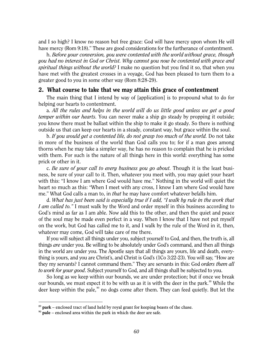and I so high? I know no reason but free grace: God will have mercy upon whom He will have mercy (Rom 9:18)." These are good considerations for the furtherance of contentment.

h. *Before your conversion, you were contented with the world without grace, though you had no interest in God or Christ. Why cannot you now be contented with grace and spiritual things without the world?* I make no question but you find it so, that when you have met with the greatest crosses in a voyage, God has been pleased to turn them to a greater good to you in some other way (Rom 8:28-29).

#### 2. What course to take that we may attain this grace of contentment

The main thing that I intend by way of [application] is to propound what to do for helping our hearts to contentment.

a. *All the rules and helps in the world will do us little good unless we get a good temper within our hearts.* You can never make a ship go steady by propping it outside; you know there must be ballast within the ship to make it go steady. So there is nothing outside us that can keep our hearts in a steady, constant way, but grace within the soul.

b. *If you would get a contented life, do not grasp too much of the world.* Do not take in more of the business of the world than God calls you to; for if a man goes among thorns when he may take a simpler way, he has no reason to complain that he is pricked with them. For such is the nature of all things here in this world: everything has some prick or other in it.

c. *Be sure of your call to every business you go about.* Though it is the least business, be sure of your call to it. Then, whatever you meet with, you may quiet your heart with this: "I know I am where God would have me." Nothing in the world will quiet the heart so much as this: "When I meet with any cross, I know I am where God would have me." What God calls a man to, in *that* he may have comfort whatever befalls him.

d. *What has just been said is especially true if I add, "I walk by rule in the work that I am called to."* I must walk by the Word and order myself in this business according to God's mind as far as I am able. Now add this to the other, and then the quiet and peace of the soul may be made even perfect in a way. When I know that I have not put myself on the work, but God has called me to it, and I walk by the rule of the Word in it, then, whatever may come, God will take care of me there.

If you will subject all things under you, subject yourself to God, and then, the truth is, all things *are* under you. Be willing to be absolutely under God's command, and then all things in the world are under you. The Apostle says that all things are yours, life and death, everything is yours, and you are Christ's, and Christ is God's (1Co 3:22-23). You will say, "How are they my servants? I cannot command them." They are servants in this: God *orders them all to work for your good*. Subject yourself to God, and all things shall be subjected to you.

So long as we keep within our bounds, we are under protection; but if once we break our bounds, we must expect it to be with us as it is with the deer in the park.<sup>[89](#page-60-0)</sup> While the deer keep within the pale,<sup>[90](#page-60-1)</sup> no dogs come after them. They can feed quietly. But let the

<span id="page-60-0"></span><sup>89</sup> **park** – enclosed tract of land held by royal grant for keeping beasts of the chase.

<span id="page-60-1"></span><sup>90</sup> **pale** – enclosed area within the park in which the deer are safe.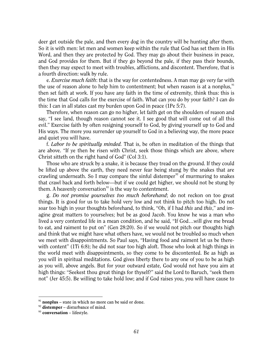deer get outside the pale, and then every dog in the country will be hunting after them. So it is with men: let men and women keep within the rule that God has set them in His Word, and then they are protected by God. They may go about their business in peace, and God provides for them. But if they go beyond the pale, if they pass their bounds, then they may expect to meet with troubles, afflictions, and discontent. Therefore, that is a fourth direction: walk by rule.

e. *Exercise much faith*: that is the way for contentedness. A man may go very far with the use of reason alone to help him to contentment; but when reason is at a nonplus,  $\mu$ then set faith at work. If you have any faith in the time of extremity, think thus: this is the time that God calls for the exercise of faith. What can you do by your faith? I can do this: I can in all states cast my burden upon God in peace (1Pe 5:7).

Therefore, when reason can go no higher, let faith get on the shoulders of reason and say, "I see land, though reason cannot see it. I see good that will come out of all this evil." Exercise faith by often resigning yourself to God, by giving yourself up to God and His ways. The more you surrender up yourself to God in a believing way, the more peace and quiet you will have.

f. *Labor to be spiritually minded.* That is, be often in meditation of the things that are above. "If ye then be risen with Christ, seek those things which are above, where Christ sitteth on the right hand of God" (Col 3:1).

Those who are struck by a snake, it is because they tread on the ground. If they could be lifted up above the earth, they need never fear being stung by the snakes that are crawling underneath. So I may compare the sinful distemper<sup>[92](#page-61-1)</sup> of murmuring to snakes that crawl back and forth below—but if we could get higher, we should not be stung by them. A heavenly conversation<sup>[93](#page-61-2)</sup> is the way to contentment.

g. *Do not promise yourselves too much beforehand*; do not reckon on too great things. It is good for us to take hold very low and not think to pitch too high. Do not soar too high in your thoughts beforehand, to think, "Oh, if I had *this* and *this*," and imagine great matters to yourselves; but be as good Jacob. You know he was a man who lived a very contented life in a mean condition, and he said, "If God…will give me bread to eat, and raiment to put on" (Gen 28:20). So if we would not pitch our thoughts high and think that we might have what others have, we would not be troubled so much when we meet with disappointments. So Paul says, "Having food and raiment let us be therewith content" (1Ti 6:8); he did not soar too high aloft. Those who look at high things in the world meet with disappointments, so they come to be discontented. Be as high as you will in spiritual meditations. God gives liberty there to any one of you to be as high as you will, above angels. But for your outward estate, God would not have you aim at high things: "Seekest thou great things for thyself?" said the Lord to Baruch, "seek them not" (Jer 45:5). Be willing to take hold low; and if God raises you, you will have cause to

<span id="page-61-0"></span><sup>91</sup> **nonplus** – state in which no more can be said or done.

<span id="page-61-1"></span><sup>92</sup> **distemper** – disturbance of mind.

<span id="page-61-2"></span><sup>93</sup> **conversation** – lifestyle.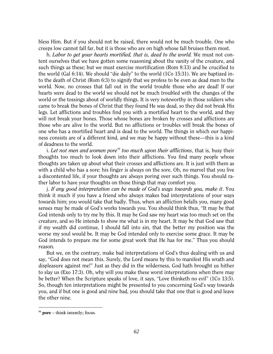bless Him. But if you should not be raised, there would not be much trouble. One who creeps low cannot fall far, but it is those who are on high whose fall bruises them most.

h. *Labor to get your hearts mortified, that is, dead to the world.* We must not content ourselves that we have gotten some reasoning about the vanity of the creature, and such things as these; but we must exercise mortification (Rom 8:13) and be crucified to the world (Gal 6:14). We should "die daily" to the world (1Co 15:31). We are baptized into the death of Christ (Rom 6:3) to signify that we profess to be even as dead men to the world. Now, no crosses that fall out in the world trouble those who are dead! If our hearts were dead to the world we should not be much troubled with the changes of the world or the tossings about of worldly things. It is very noteworthy in those soldiers who came to break the bones of Christ that they found He was dead, so they did not break His legs. Let afflictions and troubles find you with a mortified heart to the world, and they will not break your bones. Those whose bones are broken by crosses and afflictions are those who are alive to the world. But no afflictions or troubles will break the bones of one who has a mortified heart and is dead to the world. The things in which our happiness consists are of a different kind, and we may be happy without these—this is a kind of deadness to the world.

i. Let not men and women pore<sup>[94](#page-62-0)</sup> too much upon their afflictions, that is, busy their thoughts too much to look down into their afflictions. You find many people whose thoughts are taken up about what their crosses and afflictions are. It is just with them as with a child who has a sore: his finger is always on the sore. Oh, no marvel that you live a discontented life, if your thoughts are always poring over such things. You should rather labor to have your thoughts on those things that may comfort you.

j. *If any good interpretation can be made of God's ways towards you, make it*. You think it much if you have a friend who always makes bad interpretations of your ways towards him; you would take that badly. Thus, when an affliction befalls you, many good senses may be made of God's works towards you. You should think thus, "It may be that God intends only to try me by this. It may be God saw my heart was too much set on the creature, and so He intends to show me what is in my heart. It may be that God saw that if my wealth did continue, I should fall into sin, that the better my position was the worse my soul would be. It may be God intended only to exercise some grace. It may be God intends to prepare me for some great work that He has for me." Thus you should reason.

But we, on the contrary, make bad interpretations of God's thus dealing with us and say, "God does not mean this. Surely, the Lord means by this to manifest His wrath and displeasure against me!" Just as they did in the wilderness, God hath brought us hither to slay us (Exo 17:3). Oh, why will you make these worst interpretations when there may be better? When the Scripture speaks of love, it says, "Love thinketh no evil" (1Co 13:5). So, though ten interpretations might be presented to you concerning God's way towards you, and if but one is good and nine bad, you should take that one that is good and leave the other nine.

<span id="page-62-0"></span><sup>94</sup> **pore** – think intently; focus.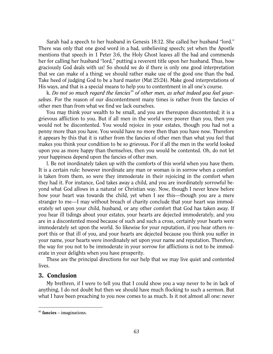Sarah had a speech to her husband in Genesis 18:12. She called her husband "lord." There was only that one good word in a bad, unbelieving speech; yet when the Apostle mentions that speech in 1 Peter 3:6, the Holy Ghost leaves all the bad and commends her for calling her husband "lord," putting a reverent title upon her husband. Thus, how graciously God deals with us! So should we do if there is only one good interpretation that we can make of a thing; we should rather make use of the good one than the bad. Take heed of judging God to be a hard master (Mat 25:24). Make good interpretations of His ways, and that is a special means to help you to contentment in all one's course.

k. Do not so much regard the fancies<sup>35</sup> of other men, as what indeed you feel your*selves*. For the reason of our discontentment many times is rather from the fancies of other men than from what we find we lack ourselves.

You may think your wealth to be small, and you are thereupon discontented; it is a grievous affliction to you. But if all men in the world were poorer than you, then you would not be discontented. You would rejoice in your estates, though you had not a penny more than you have. You would have no more then than you have now. Therefore it appears by this that it is rather from the fancies of other men than what you feel that makes you think your condition to be so grievous. For if all the men in the world looked upon you as more happy than themselves, then you would be contented. Oh, do not let your happiness depend upon the fancies of other men.

l. Be not inordinately taken up with the comforts of this world when you have them. It is a certain rule: however inordinate any man or woman is in sorrow when a comfort is taken from them, so were they immoderate in their rejoicing in the comfort when they had it. For instance, God takes away a child, and you are inordinately sorrowful beyond what God allows in a natural or Christian way. Now, though I never knew before how your heart was towards the child, yet when I see this—though you are a mere stranger to me—I may without breach of charity conclude that your heart was immoderately set upon your child, husband, or any other comfort that God has taken away. If you hear ill tidings about your estates, your hearts are dejected immoderately, and you are in a discontented mood because of such and such a cross, certainly your hearts were immoderately set upon the world. So likewise for your reputation, if you hear others report this or that ill of you, and your hearts are dejected because you think you suffer in your name, your hearts were inordinately set upon your name and reputation. Therefore, the way for you not to be immoderate in your sorrow for afflictions is not to be immoderate in your delights when you have prosperity.

These are the principal directions for our help that we may live quiet and contented lives.

#### 3. Conclusion

My brethren, if I were to tell you that I could show you a way never to be in lack of anything, I do not doubt but then we should have much flocking to such a sermon. But what I have been preaching to you now comes to as much. Is it not almost all one: never

<span id="page-63-0"></span><sup>95</sup> **fancies** – imaginations.